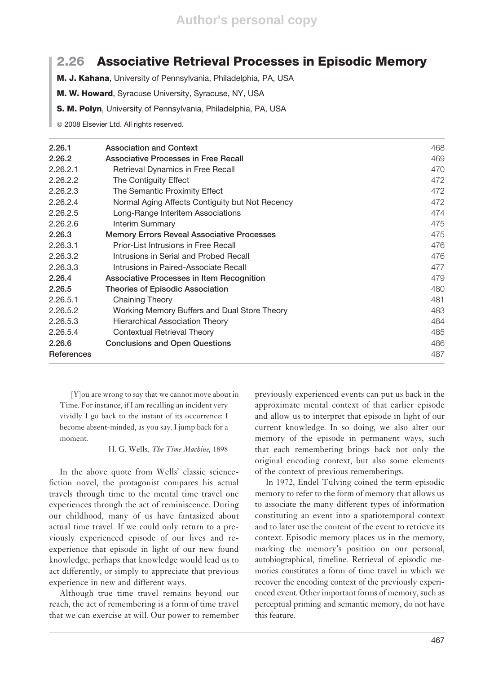# 2.26 Associative Retrieval Processes in Episodic Memory

M. J. Kahana, University of Pennsylvania, Philadelphia, PA, USA

M. W. Howard, Syracuse University, Syracuse, NY, USA

S. M. Polyn, University of Pennsylvania, Philadelphia, PA, USA

<sup>©</sup> 2008 Elsevier Ltd. All rights reserved.

| 2.26.1     | <b>Association and Context</b>                    | 468 |
|------------|---------------------------------------------------|-----|
| 2.26.2     | Associative Processes in Free Recall              | 469 |
| 2.26.2.1   | Retrieval Dynamics in Free Recall                 | 470 |
| 2.26.2.2   | The Contiguity Effect                             | 472 |
| 2.26.2.3   | The Semantic Proximity Effect                     | 472 |
| 2.26.2.4   | Normal Aging Affects Contiguity but Not Recency   | 472 |
| 2.26.2.5   | Long-Range Interitem Associations                 | 474 |
| 2.26.2.6   | Interim Summary                                   | 475 |
| 2.26.3     | <b>Memory Errors Reveal Associative Processes</b> | 475 |
| 2.26.3.1   | Prior-List Intrusions in Free Recall              | 476 |
| 2.26.3.2   | Intrusions in Serial and Probed Recall            | 476 |
| 2.26.3.3   | Intrusions in Paired-Associate Recall             | 477 |
| 2.26.4     | Associative Processes in Item Recognition         | 479 |
| 2.26.5     | Theories of Episodic Association                  | 480 |
| 2.26.5.1   | Chaining Theory                                   | 481 |
| 2.26.5.2   | Working Memory Buffers and Dual Store Theory      | 483 |
| 2.26.5.3   | <b>Hierarchical Association Theory</b>            | 484 |
| 2.26.5.4   | Contextual Retrieval Theory                       | 485 |
| 2.26.6     | <b>Conclusions and Open Questions</b>             | 486 |
| References |                                                   | 487 |

[Y]ou are wrong to say that we cannot move about in Time. For instance, if I am recalling an incident very vividly I go back to the instant of its occurrence: I become absent-minded, as you say. I jump back for a moment.

#### H. G. Wells, *The Time Machine*, 1898

In the above quote from Wells' classic sciencefiction novel, the protagonist compares his actual travels through time to the mental time travel one experiences through the act of reminiscence. During our childhood, many of us have fantasized about actual time travel. If we could only return to a previously experienced episode of our lives and reexperience that episode in light of our new found knowledge, perhaps that knowledge would lead us to act differently, or simply to appreciate that previous experience in new and different ways.

Although true time travel remains beyond our reach, the act of remembering is a form of time travel that we can exercise at will. Our power to remember previously experienced events can put us back in the approximate mental context of that earlier episode and allow us to interpret that episode in light of our current knowledge. In so doing, we also alter our memory of the episode in permanent ways, such that each remembering brings back not only the original encoding context, but also some elements of the context of previous rememberings.

In 1972, Endel Tulving coined the term episodic memory to refer to the form of memory that allows us to associate the many different types of information constituting an event into a spatiotemporal context and to later use the content of the event to retrieve its context. Episodic memory places us in the memory, marking the memory's position on our personal, autobiographical, timeline. Retrieval of episodic memories constitutes a form of time travel in which we recover the encoding context of the previously experienced event. Other important forms of memory, such as perceptual priming and semantic memory, do not have this feature.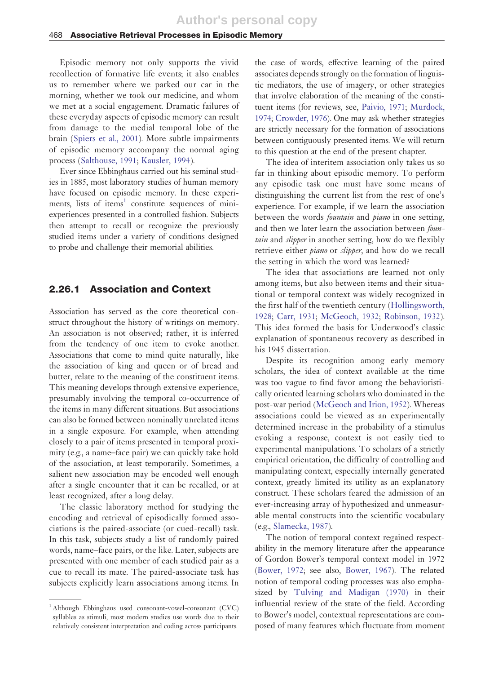Episodic memory not only supports the vivid recollection of formative life events; it also enables us to remember where we parked our car in the morning, whether we took our medicine, and whom we met at a social engagement. Dramatic failures of these everyday aspects of episodic memory can result from damage to the medial temporal lobe of the brain (Spiers et al., 2001). More subtle impairments of episodic memory accompany the normal aging process (Salthouse, 1991; Kausler, 1994).

Ever since Ebbinghaus carried out his seminal studies in 1885, most laboratory studies of human memory have focused on episodic memory. In these experiments, lists of items<sup>1</sup> constitute sequences of miniexperiences presented in a controlled fashion. Subjects then attempt to recall or recognize the previously studied items under a variety of conditions designed to probe and challenge their memorial abilities.

### 2.26.1 Association and Context

Association has served as the core theoretical construct throughout the history of writings on memory. An association is not observed; rather, it is inferred from the tendency of one item to evoke another. Associations that come to mind quite naturally, like the association of king and queen or of bread and butter, relate to the meaning of the constituent items. This meaning develops through extensive experience, presumably involving the temporal co-occurrence of the items in many different situations. But associations can also be formed between nominally unrelated items in a single exposure. For example, when attending closely to a pair of items presented in temporal proximity (e.g., a name–face pair) we can quickly take hold of the association, at least temporarily. Sometimes, a salient new association may be encoded well enough after a single encounter that it can be recalled, or at least recognized, after a long delay.

The classic laboratory method for studying the encoding and retrieval of episodically formed associations is the paired-associate (or cued-recall) task. In this task, subjects study a list of randomly paired words, name–face pairs, or the like. Later, subjects are presented with one member of each studied pair as a cue to recall its mate. The paired-associate task has subjects explicitly learn associations among items. In

the case of words, effective learning of the paired associates depends strongly on the formation of linguistic mediators, the use of imagery, or other strategies that involve elaboration of the meaning of the constituent items (for reviews, see, Paivio, 1971; Murdock, 1974; [Crowder, 1976\)](#page-20-0). One may ask whether strategies are strictly necessary for the formation of associations between contiguously presented items. We will return to this question at the end of the present chapter.

The idea of interitem association only takes us so far in thinking about episodic memory. To perform any episodic task one must have some means of distinguishing the current list from the rest of one's experience. For example, if we learn the association between the words *fountain* and *piano* in one setting, and then we later learn the association between *fountain* and *slipper* in another setting, how do we flexibly retrieve either *piano* or *slipper*, and how do we recall the setting in which the word was learned?

The idea that associations are learned not only among items, but also between items and their situational or temporal context was widely recognized in the first half of the twentieth century (Hollingsworth, 1928; [Carr, 1931](#page-20-0); McGeoch, 1932; Robinson, 1932). This idea formed the basis for Underwood's classic explanation of spontaneous recovery as described in his 1945 dissertation.

Despite its recognition among early memory scholars, the idea of context available at the time was too vague to find favor among the behavioristically oriented learning scholars who dominated in the post-war period (McGeoch and Irion, 1952). Whereas associations could be viewed as an experimentally determined increase in the probability of a stimulus evoking a response, context is not easily tied to experimental manipulations. To scholars of a strictly empirical orientation, the difficulty of controlling and manipulating context, especially internally generated context, greatly limited its utility as an explanatory construct. These scholars feared the admission of an ever-increasing array of hypothesized and unmeasurable mental constructs into the scientific vocabulary (e.g., Slamecka, 1987).

The notion of temporal context regained respectability in the memory literature after the appearance of Gordon Bower's temporal context model in 1972 [\(Bower, 1972;](#page-20-0) see also, [Bower, 1967\)](#page-20-0). The related notion of temporal coding processes was also emphasized by Tulving and Madigan (1970) in their influential review of the state of the field. According to Bower's model, contextual representations are composed of many features which fluctuate from moment

<sup>1</sup>Although Ebbinghaus used consonant-vowel-consonant (CVC) syllables as stimuli, most modern studies use words due to their relatively consistent interpretation and coding across participants.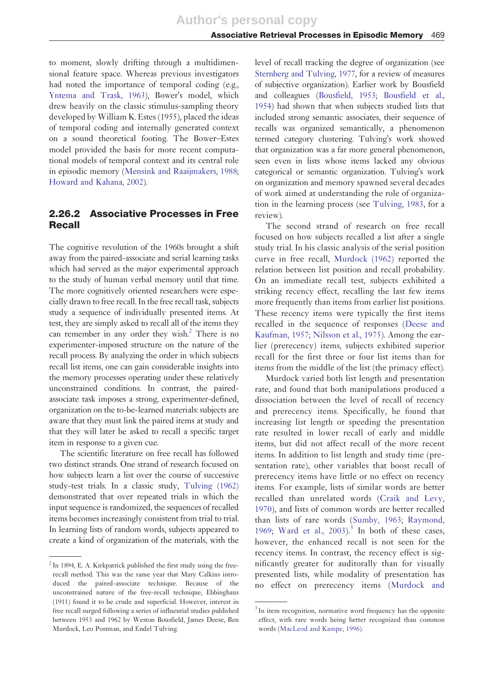to moment, slowly drifting through a multidimensional feature space. Whereas previous investigators had noted the importance of temporal coding (e.g., Yntema and Trask, 1963), Bower's model, which drew heavily on the classic stimulus-sampling theory developed by William K. Estes (1955), placed the ideas of temporal coding and internally generated context on a sound theoretical footing. The Bower–Estes model provided the basis for more recent computational models of temporal context and its central role in episodic memory (Mensink and Raaijmakers, 1988; Howard and Kahana, 2002).

# 2.26.2 Associative Processes in Free Recall

The cognitive revolution of the 1960s brought a shift away from the paired-associate and serial learning tasks which had served as the major experimental approach to the study of human verbal memory until that time. The more cognitively oriented researchers were especially drawn to free recall. In the free recall task, subjects study a sequence of individually presented items. At test, they are simply asked to recall all of the items they can remember in any order they wish. $^{2}$  There is no experimenter-imposed structure on the nature of the recall process. By analyzing the order in which subjects recall list items, one can gain considerable insights into the memory processes operating under these relatively unconstrained conditions. In contrast, the pairedassociate task imposes a strong, experimenter-defined, organization on the to-be-learned materials: subjects are aware that they must link the paired items at study and that they will later be asked to recall a specific target item in response to a given cue.

The scientific literature on free recall has followed two distinct strands. One strand of research focused on how subjects learn a list over the course of successive study-test trials. In a classic study, Tulving (1962) demonstrated that over repeated trials in which the input sequence is randomized, the sequences of recalled items becomes increasingly consistent from trial to trial. In learning lists of random words, subjects appeared to create a kind of organization of the materials, with the level of recall tracking the degree of organization (see Sternberg and Tulving, 1977, for a review of measures of subjective organization). Earlier work by Bousfield and colleagues [\(Bousfield, 1953;](#page-20-0) [Bousfield et al.,](#page-20-0) [1954\)](#page-20-0) had shown that when subjects studied lists that included strong semantic associates, their sequence of recalls was organized semantically, a phenomenon termed category clustering. Tulving's work showed that organization was a far more general phenomenon, seen even in lists whose items lacked any obvious categorical or semantic organization. Tulving's work on organization and memory spawned several decades of work aimed at understanding the role of organization in the learning process (see Tulving, 1983, for a review).

The second strand of research on free recall focused on how subjects recalled a list after a single study trial. In his classic analysis of the serial position curve in free recall, Murdock (1962) reported the relation between list position and recall probability. On an immediate recall test, subjects exhibited a striking recency effect, recalling the last few items more frequently than items from earlier list positions. These recency items were typically the first items recalled in the sequence of responses ([Deese and](#page-20-0) [Kaufman, 1957](#page-20-0); Nilsson et al., 1975). Among the earlier (prerecency) items, subjects exhibited superior recall for the first three or four list items than for items from the middle of the list (the primacy effect).

Murdock varied both list length and presentation rate, and found that both manipulations produced a dissociation between the level of recall of recency and prerecency items. Specifically, he found that increasing list length or speeding the presentation rate resulted in lower recall of early and middle items, but did not affect recall of the more recent items. In addition to list length and study time (presentation rate), other variables that boost recall of prerecency items have little or no effect on recency items. For example, lists of similar words are better recalled than unrelated words ([Craik and Levy,](#page-20-0) [1970\)](#page-20-0), and lists of common words are better recalled than lists of rare words (Sumby, 1963; Raymond, 1969; Ward et al., 2003).<sup>3</sup> In both of these cases, however, the enhanced recall is not seen for the recency items. In contrast, the recency effect is significantly greater for auditorally than for visually presented lists, while modality of presentation has no effect on prerecency items (Murdock and

 $2$  In 1894, E. A. Kirkpatrick published the first study using the freerecall method. This was the same year that Mary Calkins introduced the paired-associate technique. Because of the unconstrained nature of the free-recall technique, Ebbinghaus (1911) found it to be crude and superficial. However, interest in free recall surged following a series of influential studies published between 1953 and 1962 by Weston Bousfield, James Deese, Ben Murdock, Leo Postman, and Endel Tulving.

<sup>&</sup>lt;sup>3</sup> In item recognition, normative word frequency has the opposite effect, with rare words being better recognized than common words (MacLeod and Kampe, 1996).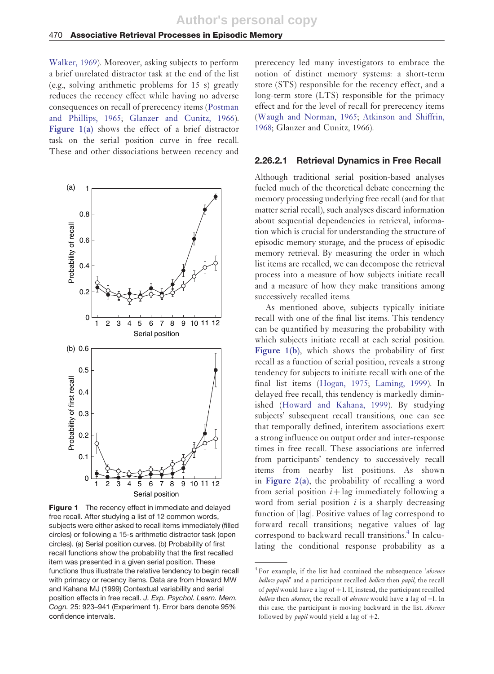Walker, 1969). Moreover, asking subjects to perform a brief unrelated distractor task at the end of the list (e.g., solving arithmetic problems for 15 s) greatly reduces the recency effect while having no adverse consequences on recall of prerecency items (Postman and Phillips, 1965; [Glanzer and Cunitz, 1966](#page-20-0)). **Figure 1(a)** shows the effect of a brief distractor task on the serial position curve in free recall. These and other dissociations between recency and



**Figure 1** The recency effect in immediate and delayed free recall. After studying a list of 12 common words, subjects were either asked to recall items immediately (filled circles) or following a 15-s arithmetic distractor task (open circles). (a) Serial position curves. (b) Probability of first recall functions show the probability that the first recalled item was presented in a given serial position. These functions thus illustrate the relative tendency to begin recall with primacy or recency items. Data are from Howard MW and Kahana MJ (1999) Contextual variability and serial position effects in free recall. J. Exp. Psychol. Learn. Mem. Cogn. 25: 923–941 (Experiment 1). Error bars denote 95% confidence intervals.

prerecency led many investigators to embrace the notion of distinct memory systems: a short-term store (STS) responsible for the recency effect, and a long-term store (LTS) responsible for the primacy effect and for the level of recall for prerecency items (Waugh and Norman, 1965; [Atkinson and Shiffrin,](#page-20-0) [1968;](#page-20-0) Glanzer and Cunitz, 1966).

#### 2.26.2.1 Retrieval Dynamics in Free Recall

Although traditional serial position-based analyses fueled much of the theoretical debate concerning the memory processing underlying free recall (and for that matter serial recall), such analyses discard information about sequential dependencies in retrieval, information which is crucial for understanding the structure of episodic memory storage, and the process of episodic memory retrieval. By measuring the order in which list items are recalled, we can decompose the retrieval process into a measure of how subjects initiate recall and a measure of how they make transitions among successively recalled items.

As mentioned above, subjects typically initiate recall with one of the final list items. This tendency can be quantified by measuring the probability with which subjects initiate recall at each serial position. **Figure 1(b)**, which shows the probability of first recall as a function of serial position, reveals a strong tendency for subjects to initiate recall with one of the final list items [\(Hogan, 1975;](#page-21-0) Laming, 1999). In delayed free recall, this tendency is markedly diminished (Howard and Kahana, 1999). By studying subjects' subsequent recall transitions, one can see that temporally defined, interitem associations exert a strong influence on output order and inter-response times in free recall. These associations are inferred from participants' tendency to successively recall items from nearby list positions. As shown in **Figure 2(a)**, the probability of recalling a word from serial position  $i + \log$  immediately following a word from serial position *i* is a sharply decreasing function of *lag*. Positive values of lag correspond to forward recall transitions; negative values of lag correspond to backward recall transitions.<sup>4</sup> In calculating the conditional response probability as a

<sup>4</sup> For example, if the list had contained the subsequence '*absence hollow pupil*' and a participant recalled *hollow* then *pupil*, the recall of  $pupil$  would have a lag of  $+1$ . If, instead, the participant recalled *hollow* then *absence*, the recall of *absence* would have a lag of –1. In this case, the participant is moving backward in the list. *Absence* followed by  $pupil$  would yield a lag of  $+2$ .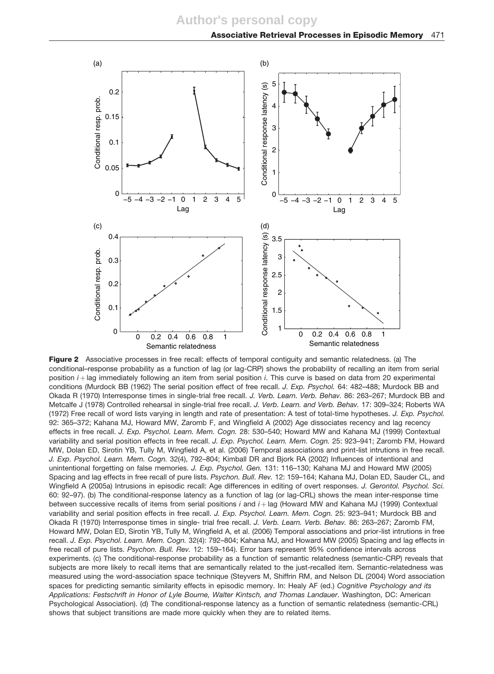

Figure 2 Associative processes in free recall: effects of temporal contiguity and semantic relatedness. (a) The conditional–response probability as a function of lag (or lag-CRP) shows the probability of recalling an item from serial position  $i+$  lag immediately following an item from serial position i. This curve is based on data from 20 experimental conditions (Murdock BB (1962) The serial position effect of free recall. J. Exp. Psychol. 64: 482–488; Murdock BB and Okada R (1970) Interresponse times in single-trial free recall. J. Verb. Learn. Verb. Behav. 86: 263-267; Murdock BB and Metcalfe J (1978) Controlled rehearsal in single-trial free recall. J. Verb. Learn. and Verb. Behav. 17: 309–324; Roberts WA (1972) Free recall of word lists varying in length and rate of presentation: A test of total-time hypotheses. J. Exp. Psychol. 92: 365–372; Kahana MJ, Howard MW, Zaromb F, and Wingfield A (2002) Age dissociates recency and lag recency effects in free recall. J. Exp. Psychol. Learn. Mem. Cogn. 28: 530-540; Howard MW and Kahana MJ (1999) Contextual variability and serial position effects in free recall. J. Exp. Psychol. Learn. Mem. Cogn. 25: 923-941; Zaromb FM, Howard MW, Dolan ED, Sirotin YB, Tully M, Wingfield A, et al. (2006) Temporal associations and print-list intrutions in free recall. J. Exp. Psychol. Learn. Mem. Cogn. 32(4), 792–804; Kimball DR and Bjork RA (2002) Influences of intentional and unintentional forgetting on false memories. J. Exp. Psychol. Gen. 131: 116–130; Kahana MJ and Howard MW (2005) Spacing and lag effects in free recall of pure lists. Psychon. Bull. Rev. 12: 159–164; Kahana MJ, Dolan ED, Sauder CL, and Wingfield A (2005a) Intrusions in episodic recall: Age differences in editing of overt responses. J. Gerontol. Psychol. Sci. 60: 92–97). (b) The conditional-response latency as a function of lag (or lag-CRL) shows the mean inter-response time between successive recalls of items from serial positions i and i + lag (Howard MW and Kahana MJ (1999) Contextual variability and serial position effects in free recall. J. Exp. Psychol. Learn. Mem. Cogn. 25: 923-941; Murdock BB and Okada R (1970) Interresponse times in single- trial free recall. J. Verb. Learn. Verb. Behav. 86: 263-267; Zaromb FM, Howard MW, Dolan ED, Sirotin YB, Tully M, Wingfield A, et al. (2006) Temporal associations and prior-list intrutions in free recall. J. Exp. Psychol. Learn. Mem. Cogn. 32(4): 792-804; Kahana MJ, and Howard MW (2005) Spacing and lag effects in free recall of pure lists. Psychon. Bull. Rev. 12: 159-164). Error bars represent 95% confidence intervals across experiments. (c) The conditional-response probability as a function of semantic relatedness (semantic-CRP) reveals that subjects are more likely to recall items that are semantically related to the just-recalled item. Semantic-relatedness was measured using the word-association space technique (Steyvers M, Shiffrin RM, and Nelson DL (2004) Word association spaces for predicting semantic similarity effects in episodic memory. In: Healy AF (ed.) Cognitive Psychology and its Applications: Festschrift in Honor of Lyle Bourne, Walter Kintsch, and Thomas Landauer. Washington, DC: American Psychological Association). (d) The conditional-response latency as a function of semantic relatedness (semantic-CRL) shows that subject transitions are made more quickly when they are to related items.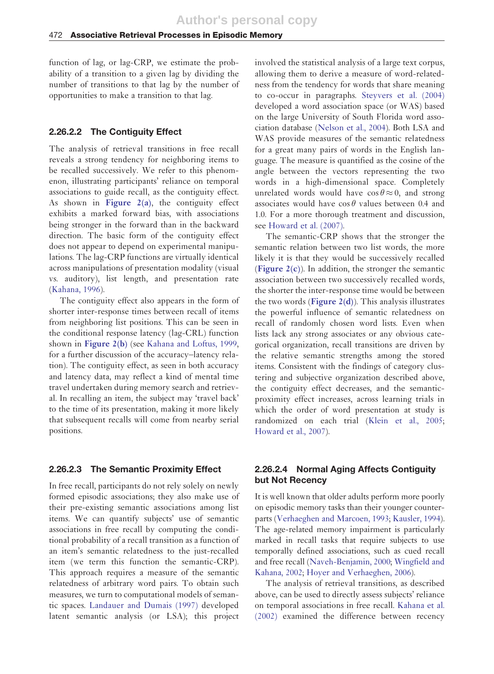function of lag, or lag-CRP, we estimate the probability of a transition to a given lag by dividing the number of transitions to that lag by the number of opportunities to make a transition to that lag.

#### 2.26.2.2 The Contiguity Effect

The analysis of retrieval transitions in free recall reveals a strong tendency for neighboring items to be recalled successively. We refer to this phenomenon, illustrating participants' reliance on temporal associations to guide recall, as the contiguity effect. As shown in **Figure 2(a)**, the contiguity effect exhibits a marked forward bias, with associations being stronger in the forward than in the backward direction. The basic form of the contiguity effect does not appear to depend on experimental manipulations. The lag-CRP functions are virtually identical across manipulations of presentation modality (visual vs. auditory), list length, and presentation rate (Kahana, 1996).

The contiguity effect also appears in the form of shorter inter-response times between recall of items from neighboring list positions. This can be seen in the conditional response latency (lag-CRL) function shown in **Figure 2(b)** (see Kahana and Loftus, 1999, for a further discussion of the accuracy–latency relation). The contiguity effect, as seen in both accuracy and latency data, may reflect a kind of mental time travel undertaken during memory search and retrieval. In recalling an item, the subject may 'travel back' to the time of its presentation, making it more likely that subsequent recalls will come from nearby serial positions.

#### 2.26.2.3 The Semantic Proximity Effect

In free recall, participants do not rely solely on newly formed episodic associations; they also make use of their pre-existing semantic associations among list items. We can quantify subjects' use of semantic associations in free recall by computing the conditional probability of a recall transition as a function of an item's semantic relatedness to the just-recalled item (we term this function the semantic-CRP). This approach requires a measure of the semantic relatedness of arbitrary word pairs. To obtain such measures, we turn to computational models of semantic spaces. Landauer and Dumais (1997) developed latent semantic analysis (or LSA); this project

involved the statistical analysis of a large text corpus, allowing them to derive a measure of word-relatedness from the tendency for words that share meaning to co-occur in paragraphs. Steyvers et al. (2004) developed a word association space (or WAS) based on the large University of South Florida word association database (Nelson et al., 2004). Both LSA and WAS provide measures of the semantic relatedness for a great many pairs of words in the English language. The measure is quantified as the cosine of the angle between the vectors representing the two words in a high-dimensional space. Completely unrelated words would have  $\cos \theta \approx 0$ , and strong associates would have  $\cos \theta$  values between 0.4 and 1.0. For a more thorough treatment and discussion, see Howard et al. (2007).

The semantic-CRP shows that the stronger the semantic relation between two list words, the more likely it is that they would be successively recalled (**Figure 2(c)**). In addition, the stronger the semantic association between two successively recalled words, the shorter the inter-response time would be between the two words (**Figure 2(d)**). This analysis illustrates the powerful influence of semantic relatedness on recall of randomly chosen word lists. Even when lists lack any strong associates or any obvious categorical organization, recall transitions are driven by the relative semantic strengths among the stored items. Consistent with the findings of category clustering and subjective organization described above, the contiguity effect decreases, and the semanticproximity effect increases, across learning trials in which the order of word presentation at study is randomized on each trial (Klein et al., 2005; Howard et al., 2007).

# 2.26.2.4 Normal Aging Affects Contiguity but Not Recency

It is well known that older adults perform more poorly on episodic memory tasks than their younger counterparts (Verhaeghen and Marcoen, 1993; Kausler, 1994). The age-related memory impairment is particularly marked in recall tasks that require subjects to use temporally defined associations, such as cued recall and free recall (Naveh-Benjamin, 2000; Wingfield and Kahana, 2002; Hoyer and Verhaeghen, 2006).

The analysis of retrieval transitions, as described above, can be used to directly assess subjects' reliance on temporal associations in free recall. Kahana et al. (2002) examined the difference between recency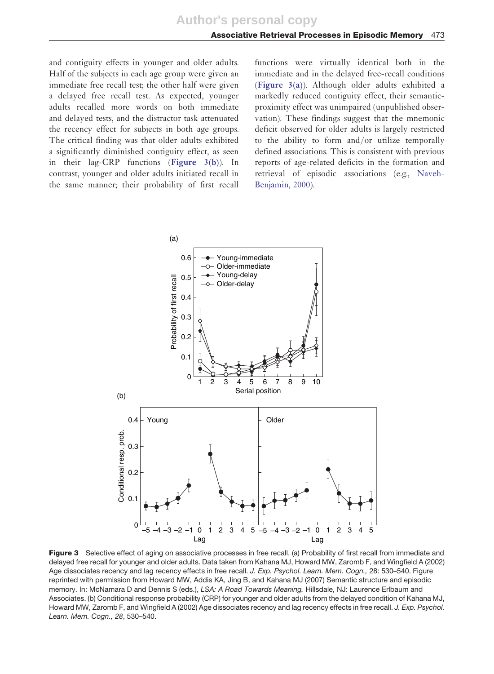and contiguity effects in younger and older adults. Half of the subjects in each age group were given an immediate free recall test; the other half were given a delayed free recall test. As expected, younger adults recalled more words on both immediate and delayed tests, and the distractor task attenuated the recency effect for subjects in both age groups. The critical finding was that older adults exhibited a significantly diminished contiguity effect, as seen in their lag-CRP functions (**Figure 3(b)**). In contrast, younger and older adults initiated recall in the same manner; their probability of first recall functions were virtually identical both in the immediate and in the delayed free-recall conditions (**Figure 3(a)**). Although older adults exhibited a markedly reduced contiguity effect, their semanticproximity effect was unimpaired (unpublished observation). These findings suggest that the mnemonic deficit observed for older adults is largely restricted to the ability to form and/or utilize temporally defined associations. This is consistent with previous reports of age-related deficits in the formation and retrieval of episodic associations (e.g., Naveh-Benjamin, 2000).



Figure 3 Selective effect of aging on associative processes in free recall. (a) Probability of first recall from immediate and delayed free recall for younger and older adults. Data taken from Kahana MJ, Howard MW, Zaromb F, and Wingfield A (2002) Age dissociates recency and lag recency effects in free recall. J. Exp. Psychol. Learn. Mem. Cogn., 28: 530-540. Figure reprinted with permission from Howard MW, Addis KA, Jing B, and Kahana MJ (2007) Semantic structure and episodic memory. In: McNamara D and Dennis S (eds.), LSA: A Road Towards Meaning. Hillsdale, NJ: Laurence Erlbaum and Associates. (b) Conditional response probability (CRP) for younger and older adults from the delayed condition of Kahana MJ, Howard MW, Zaromb F, and Wingfield A (2002) Age dissociates recency and lag recency effects in free recall. J. Exp. Psychol. Learn. Mem. Cogn., 28, 530–540.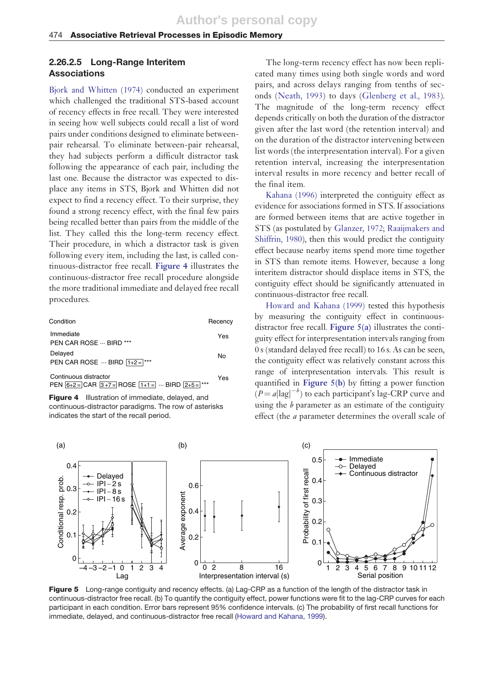### 2.26.2.5 Long-Range Interitem **Associations**

[Bjork and Whitten \(1974\)](#page-20-0) conducted an experiment which challenged the traditional STS-based account of recency effects in free recall. They were interested in seeing how well subjects could recall a list of word pairs under conditions designed to eliminate betweenpair rehearsal. To eliminate between-pair rehearsal, they had subjects perform a difficult distractor task following the appearance of each pair, including the last one. Because the distractor was expected to displace any items in STS, Bjork and Whitten did not expect to find a recency effect. To their surprise, they found a strong recency effect, with the final few pairs being recalled better than pairs from the middle of the list. They called this the long-term recency effect. Their procedure, in which a distractor task is given following every item, including the last, is called continuous-distractor free recall. **Figure 4** illustrates the continuous-distractor free recall procedure alongside the more traditional immediate and delayed free recall procedures.

| Condition                                                               | Recency |
|-------------------------------------------------------------------------|---------|
| Immediate<br>PEN CAR ROSE  BIRD ***                                     | Yes     |
| Delayed<br>PEN CAR ROSE $\cdots$ BIRD $\boxed{1+2}$ = ***               | No      |
| Continuous distractor<br>PEN 6+2 = CAR 3+7 = ROSE 1+1 =  BIRD 2+5 = *** | Yes     |

**Figure 4** Illustration of immediate, delayed, and continuous-distractor paradigms. The row of asterisks indicates the start of the recall period.

The long-term recency effect has now been replicated many times using both single words and word pairs, and across delays ranging from tenths of seconds (Neath, 1993) to days [\(Glenberg et al., 1983](#page-20-0)). The magnitude of the long-term recency effect depends critically on both the duration of the distractor given after the last word (the retention interval) and on the duration of the distractor intervening between list words (the interpresentation interval). For a given retention interval, increasing the interpresentation interval results in more recency and better recall of the final item.

Kahana (1996) interpreted the contiguity effect as evidence for associations formed in STS. If associations are formed between items that are active together in STS (as postulated by [Glanzer, 1972](#page-20-0); Raaijmakers and Shiffrin, 1980), then this would predict the contiguity effect because nearby items spend more time together in STS than remote items. However, because a long interitem distractor should displace items in STS, the contiguity effect should be significantly attenuated in continuous-distractor free recall.

Howard and Kahana (1999) tested this hypothesis by measuring the contiguity effect in continuousdistractor free recall. **Figure 5(a)** illustrates the contiguity effect for interpresentation intervals ranging from 0 s (standard delayed free recall) to 16 s. As can be seen, the contiguity effect was relatively constant across this range of interpresentation intervals. This result is quantified in **Figure 5(b)** by fitting a power function  $(P = a|\text{lag}|^{-b})$  to each participant's lag-CRP curve and using the *b* parameter as an estimate of the contiguity effect (the *a* parameter determines the overall scale of



Figure 5 Long-range contiguity and recency effects. (a) Lag-CRP as a function of the length of the distractor task in continuous-distractor free recall. (b) To quantify the contiguity effect, power functions were fit to the lag-CRP curves for each participant in each condition. Error bars represent 95% confidence intervals. (c) The probability of first recall functions for immediate, delayed, and continuous-distractor free recall (Howard and Kahana, 1999).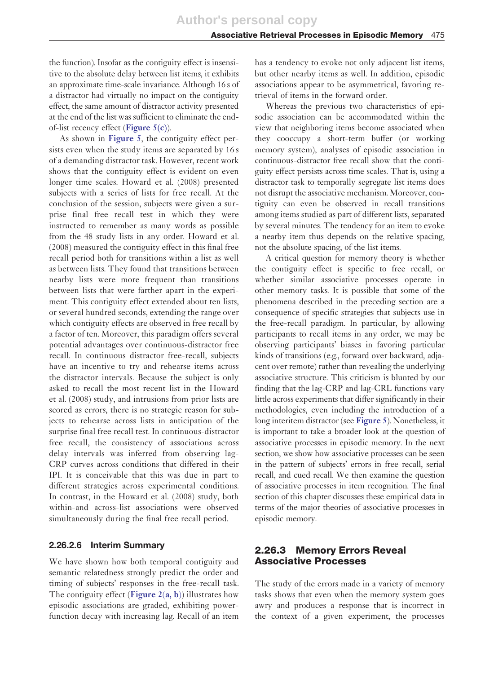the function). Insofar as the contiguity effect is insensitive to the absolute delay between list items, it exhibits an approximate time-scale invariance. Although 16 s of a distractor had virtually no impact on the contiguity effect, the same amount of distractor activity presented at the end of the list was sufficient to eliminate the endof-list recency effect (**Figure 5(c)**).

As shown in **Figure 5**, the contiguity effect persists even when the study items are separated by 16 s of a demanding distractor task. However, recent work shows that the contiguity effect is evident on even longer time scales. Howard et al. (2008) presented subjects with a series of lists for free recall. At the conclusion of the session, subjects were given a surprise final free recall test in which they were instructed to remember as many words as possible from the 48 study lists in any order. Howard et al. (2008) measured the contiguity effect in this final free recall period both for transitions within a list as well as between lists. They found that transitions between nearby lists were more frequent than transitions between lists that were farther apart in the experiment. This contiguity effect extended about ten lists, or several hundred seconds, extending the range over which contiguity effects are observed in free recall by a factor of ten. Moreover, this paradigm offers several potential advantages over continuous-distractor free recall. In continuous distractor free-recall, subjects have an incentive to try and rehearse items across the distractor intervals. Because the subject is only asked to recall the most recent list in the Howard et al. (2008) study, and intrusions from prior lists are scored as errors, there is no strategic reason for subjects to rehearse across lists in anticipation of the surprise final free recall test. In continuous-distractor free recall, the consistency of associations across delay intervals was inferred from observing lag-CRP curves across conditions that differed in their IPI. It is conceivable that this was due in part to different strategies across experimental conditions. In contrast, in the Howard et al. (2008) study, both within-and across-list associations were observed simultaneously during the final free recall period.

### 2.26.2.6 Interim Summary

We have shown how both temporal contiguity and semantic relatedness strongly predict the order and timing of subjects' responses in the free-recall task. The contiguity effect (**Figure 2**(**a, b**)) illustrates how episodic associations are graded, exhibiting powerfunction decay with increasing lag. Recall of an item has a tendency to evoke not only adjacent list items, but other nearby items as well. In addition, episodic associations appear to be asymmetrical, favoring retrieval of items in the forward order.

Whereas the previous two characteristics of episodic association can be accommodated within the view that neighboring items become associated when they cooccupy a short-term buffer (or working memory system), analyses of episodic association in continuous-distractor free recall show that the contiguity effect persists across time scales. That is, using a distractor task to temporally segregate list items does not disrupt the associative mechanism. Moreover, contiguity can even be observed in recall transitions among items studied as part of different lists, separated by several minutes. The tendency for an item to evoke a nearby item thus depends on the relative spacing, not the absolute spacing, of the list items.

A critical question for memory theory is whether the contiguity effect is specific to free recall, or whether similar associative processes operate in other memory tasks. It is possible that some of the phenomena described in the preceding section are a consequence of specific strategies that subjects use in the free-recall paradigm. In particular, by allowing participants to recall items in any order, we may be observing participants' biases in favoring particular kinds of transitions (e.g., forward over backward, adjacent over remote) rather than revealing the underlying associative structure. This criticism is blunted by our finding that the lag-CRP and lag-CRL functions vary little across experiments that differ significantly in their methodologies, even including the introduction of a long interitem distractor (see **Figure 5**). Nonetheless, it is important to take a broader look at the question of associative processes in episodic memory. In the next section, we show how associative processes can be seen in the pattern of subjects' errors in free recall, serial recall, and cued recall. We then examine the question of associative processes in item recognition. The final section of this chapter discusses these empirical data in terms of the major theories of associative processes in episodic memory.

# 2.26.3 Memory Errors Reveal Associative Processes

The study of the errors made in a variety of memory tasks shows that even when the memory system goes awry and produces a response that is incorrect in the context of a given experiment, the processes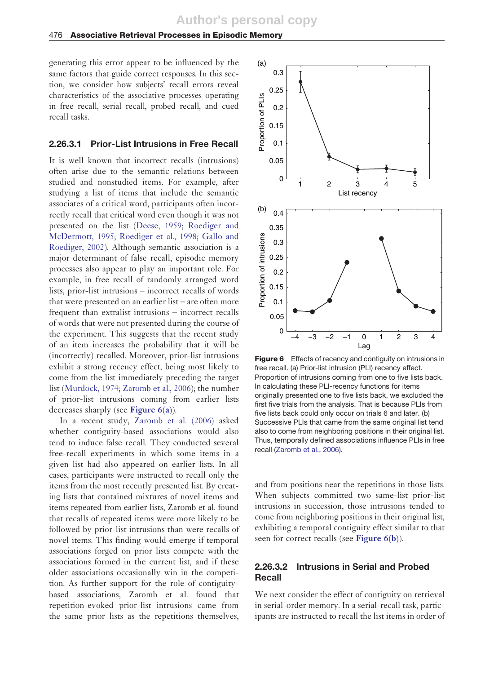generating this error appear to be influenced by the same factors that guide correct responses. In this section, we consider how subjects' recall errors reveal characteristics of the associative processes operating in free recall, serial recall, probed recall, and cued recall tasks.

#### 2.26.3.1 Prior-List Intrusions in Free Recall

It is well known that incorrect recalls (intrusions) often arise due to the semantic relations between studied and nonstudied items. For example, after studying a list of items that include the semantic associates of a critical word, participants often incorrectly recall that critical word even though it was not presented on the list [\(Deese, 1959](#page-20-0); Roediger and McDermott, 1995; Roediger et al., 1998; [Gallo and](#page-20-0) [Roediger, 2002\)](#page-20-0). Although semantic association is a major determinant of false recall, episodic memory processes also appear to play an important role. For example, in free recall of randomly arranged word lists, prior-list intrusions – incorrect recalls of words that were presented on an earlier list – are often more frequent than extralist intrusions – incorrect recalls of words that were not presented during the course of the experiment. This suggests that the recent study of an item increases the probability that it will be (incorrectly) recalled. Moreover, prior-list intrusions exhibit a strong recency effect, being most likely to come from the list immediately preceding the target list (Murdock, 1974; Zaromb et al., 2006); the number of prior-list intrusions coming from earlier lists decreases sharply (see **Figure 6(a)**).

In a recent study, Zaromb et al. (2006) asked whether contiguity-based associations would also tend to induce false recall. They conducted several free-recall experiments in which some items in a given list had also appeared on earlier lists. In all cases, participants were instructed to recall only the items from the most recently presented list. By creating lists that contained mixtures of novel items and items repeated from earlier lists, Zaromb et al. found that recalls of repeated items were more likely to be followed by prior-list intrusions than were recalls of novel items. This finding would emerge if temporal associations forged on prior lists compete with the associations formed in the current list, and if these older associations occasionally win in the competition. As further support for the role of contiguitybased associations, Zaromb et al. found that repetition-evoked prior-list intrusions came from the same prior lists as the repetitions themselves,



Figure 6 Effects of recency and contiguity on intrusions in free recall. (a) Prior-list intrusion (PLI) recency effect. Proportion of intrusions coming from one to five lists back. In calculating these PLI-recency functions for items originally presented one to five lists back, we excluded the first five trials from the analysis. That is because PLIs from five lists back could only occur on trials 6 and later. (b) Successive PLIs that came from the same original list tend also to come from neighboring positions in their original list. Thus, temporally defined associations influence PLIs in free recall (Zaromb et al., 2006).

and from positions near the repetitions in those lists. When subjects committed two same-list prior-list intrusions in succession, those intrusions tended to come from neighboring positions in their original list, exhibiting a temporal contiguity effect similar to that seen for correct recalls (see **Figure 6(b)**).

# 2.26.3.2 Intrusions in Serial and Probed Recall

We next consider the effect of contiguity on retrieval in serial-order memory. In a serial-recall task, participants are instructed to recall the list items in order of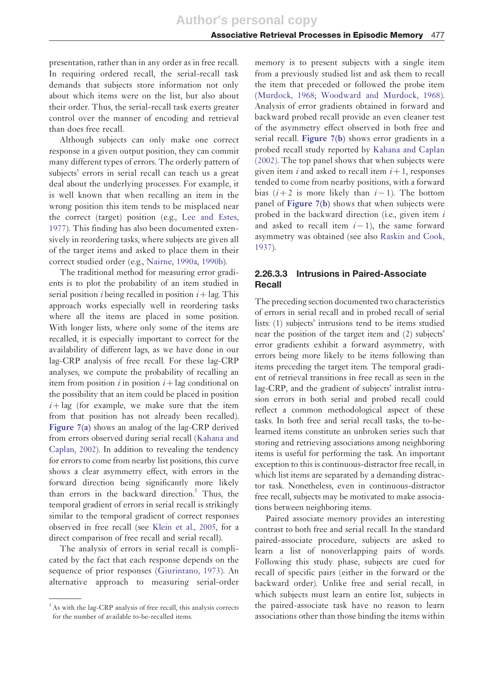presentation, rather than in any order as in free recall. In requiring ordered recall, the serial-recall task demands that subjects store information not only about which items were on the list, but also about their order. Thus, the serial-recall task exerts greater control over the manner of encoding and retrieval than does free recall.

Although subjects can only make one correct response in a given output position, they can commit many different types of errors. The orderly pattern of subjects' errors in serial recall can teach us a great deal about the underlying processes. For example, it is well known that when recalling an item in the wrong position this item tends to be misplaced near the correct (target) position (e.g., Lee and Estes, 1977). This finding has also been documented extensively in reordering tasks, where subjects are given all of the target items and asked to place them in their correct studied order (e.g., Nairne, 1990a, 1990b).

The traditional method for measuring error gradients is to plot the probability of an item studied in serial position  $i$  being recalled in position  $i + \log n$ . This approach works especially well in reordering tasks where all the items are placed in some position. With longer lists, where only some of the items are recalled, it is especially important to correct for the availability of different lags, as we have done in our lag-CRP analysis of free recall. For these lag-CRP analyses, we compute the probability of recalling an item from position  $i$  in position  $i +$  lag conditional on the possibility that an item could be placed in position  $i + \log$  (for example, we make sure that the item from that position has not already been recalled). **Figure 7(a)** shows an analog of the lag-CRP derived from errors observed during serial recall (Kahana and Caplan, 2002). In addition to revealing the tendency for errors to come from nearby list positions, this curve shows a clear asymmetry effect, with errors in the forward direction being significantly more likely than errors in the backward direction.<sup>5</sup> Thus, the temporal gradient of errors in serial recall is strikingly similar to the temporal gradient of correct responses observed in free recall (see Klein et al., 2005, for a direct comparison of free recall and serial recall).

The analysis of errors in serial recall is complicated by the fact that each response depends on the sequence of prior responses ([Giurintano, 1973\)](#page-20-0). An alternative approach to measuring serial-order memory is to present subjects with a single item from a previously studied list and ask them to recall the item that preceded or followed the probe item (Murdock, 1968; Woodward and Murdock, 1968). Analysis of error gradients obtained in forward and backward probed recall provide an even cleaner test of the asymmetry effect observed in both free and serial recall. **Figure 7(b)** shows error gradients in a probed recall study reported by Kahana and Caplan (2002). The top panel shows that when subjects were given item *i* and asked to recall item  $i + 1$ , responses tended to come from nearby positions, with a forward bias  $(i+2)$  is more likely than  $i-1$ ). The bottom panel of **Figure 7(b)** shows that when subjects were probed in the backward direction (i.e., given item *i* and asked to recall item  $i - 1$ ), the same forward asymmetry was obtained (see also Raskin and Cook, 1937).

### 2.26.3.3 Intrusions in Paired-Associate Recall

The preceding section documented two characteristics of errors in serial recall and in probed recall of serial lists: (1) subjects' intrusions tend to be items studied near the position of the target item and (2) subjects' error gradients exhibit a forward asymmetry, with errors being more likely to be items following than items preceding the target item. The temporal gradient of retrieval transitions in free recall as seen in the lag-CRP, and the gradient of subjects' intralist intrusion errors in both serial and probed recall could reflect a common methodological aspect of these tasks. In both free and serial recall tasks, the to-belearned items constitute an unbroken series such that storing and retrieving associations among neighboring items is useful for performing the task. An important exception to this is continuous-distractor free recall, in which list items are separated by a demanding distractor task. Nonetheless, even in continuous-distractor free recall, subjects may be motivated to make associations between neighboring items.

Paired associate memory provides an interesting contrast to both free and serial recall. In the standard paired-associate procedure, subjects are asked to learn a list of nonoverlapping pairs of words. Following this study phase, subjects are cued for recall of specific pairs (either in the forward or the backward order). Unlike free and serial recall, in which subjects must learn an entire list, subjects in the paired-associate task have no reason to learn associations other than those binding the items within

 $5$ As with the lag-CRP analysis of free recall, this analysis corrects for the number of available to-be-recalled items.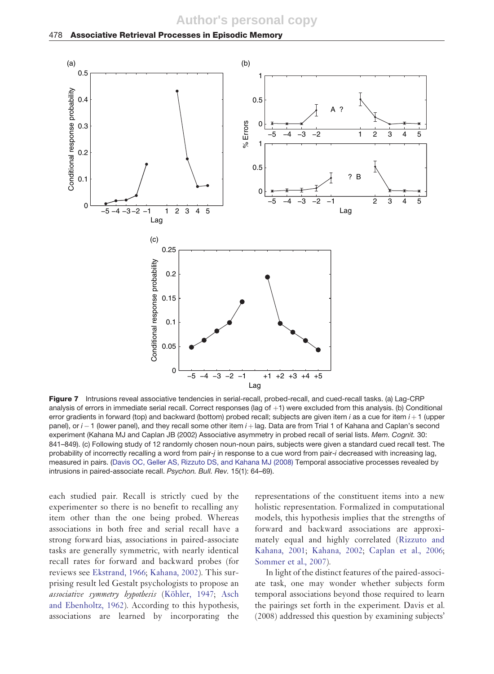

Figure 7 Intrusions reveal associative tendencies in serial-recall, probed-recall, and cued-recall tasks. (a) Lag-CRP analysis of errors in immediate serial recall. Correct responses (lag of  $+1$ ) were excluded from this analysis. (b) Conditional error gradients in forward (top) and backward (bottom) probed recall; subjects are given item i as a cue for item  $i + 1$  (upper panel), or  $i-1$  (lower panel), and they recall some other item  $i+$ lag. Data are from Trial 1 of Kahana and Caplan's second experiment (Kahana MJ and Caplan JB (2002) Associative asymmetry in probed recall of serial lists. Mem. Cognit. 30: 841–849). (c) Following study of 12 randomly chosen noun-noun pairs, subjects were given a standard cued recall test. The probability of incorrectly recalling a word from pair-j in response to a cue word from pair-i decreased with increasing lag, measured in pairs. (Davis OC, Geller AS, Rizzuto DS, and Kahana MJ (2008) Temporal associative processes revealed by intrusions in paired-associate recall. Psychon. Bull. Rev. 15(1): 64–69).

each studied pair. Recall is strictly cued by the experimenter so there is no benefit to recalling any item other than the one being probed. Whereas associations in both free and serial recall have a strong forward bias, associations in paired-associate tasks are generally symmetric, with nearly identical recall rates for forward and backward probes (for reviews see [Ekstrand, 1966;](#page-20-0) Kahana, 2002). This surprising result led Gestalt psychologists to propose an associative symmetry hypothesis (Köhler, 1947; [Asch](#page-20-0) [and Ebenholtz, 1962\)](#page-20-0). According to this hypothesis, associations are learned by incorporating the representations of the constituent items into a new holistic representation. Formalized in computational models, this hypothesis implies that the strengths of forward and backward associations are approximately equal and highly correlated (Rizzuto and Kahana, 2001; Kahana, 2002; [Caplan et al., 2006](#page-20-0); Sommer et al., 2007).

In light of the distinct features of the paired-associate task, one may wonder whether subjects form temporal associations beyond those required to learn the pairings set forth in the experiment. Davis et al. (2008) addressed this question by examining subjects'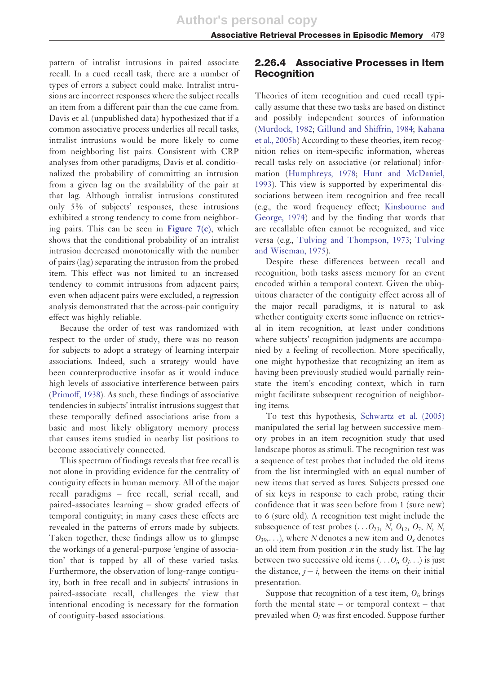pattern of intralist intrusions in paired associate recall. In a cued recall task, there are a number of types of errors a subject could make. Intralist intrusions are incorrect responses where the subject recalls an item from a different pair than the cue came from. Davis et al. (unpublished data) hypothesized that if a common associative process underlies all recall tasks, intralist intrusions would be more likely to come from neighboring list pairs. Consistent with CRP analyses from other paradigms, Davis et al. conditionalized the probability of committing an intrusion from a given lag on the availability of the pair at that lag. Although intralist intrusions constituted only 5% of subjects' responses, these intrusions exhibited a strong tendency to come from neighboring pairs. This can be seen in **Figure 7(c)**, which shows that the conditional probability of an intralist intrusion decreased monotonically with the number of pairs (lag) separating the intrusion from the probed item. This effect was not limited to an increased tendency to commit intrusions from adjacent pairs; even when adjacent pairs were excluded, a regression analysis demonstrated that the across-pair contiguity effect was highly reliable.

Because the order of test was randomized with respect to the order of study, there was no reason for subjects to adopt a strategy of learning interpair associations. Indeed, such a strategy would have been counterproductive insofar as it would induce high levels of associative interference between pairs (Primoff, 1938). As such, these findings of associative tendencies in subjects' intralist intrusions suggest that these temporally defined associations arise from a basic and most likely obligatory memory process that causes items studied in nearby list positions to become associatively connected.

This spectrum of findings reveals that free recall is not alone in providing evidence for the centrality of contiguity effects in human memory. All of the major recall paradigms – free recall, serial recall, and paired-associates learning – show graded effects of temporal contiguity; in many cases these effects are revealed in the patterns of errors made by subjects. Taken together, these findings allow us to glimpse the workings of a general-purpose 'engine of association' that is tapped by all of these varied tasks. Furthermore, the observation of long-range contiguity, both in free recall and in subjects' intrusions in paired-associate recall, challenges the view that intentional encoding is necessary for the formation of contiguity-based associations.

# 2.26.4 Associative Processes in Item Recognition

Theories of item recognition and cued recall typically assume that these two tasks are based on distinct and possibly independent sources of information (Murdock, 1982; [Gillund and Shiffrin, 1984](#page-20-0); Kahana et al., 2005b) According to these theories, item recognition relies on item-specific information, whereas recall tasks rely on associative (or relational) information (Humphreys, 1978; Hunt and McDaniel, 1993). This view is supported by experimental dissociations between item recognition and free recall (e.g., the word frequency effect; Kinsbourne and George, 1974) and by the finding that words that are recallable often cannot be recognized, and vice versa (e.g., Tulving and Thompson, 1973; Tulving and Wiseman, 1975).

Despite these differences between recall and recognition, both tasks assess memory for an event encoded within a temporal context. Given the ubiquitous character of the contiguity effect across all of the major recall paradigms, it is natural to ask whether contiguity exerts some influence on retrieval in item recognition, at least under conditions where subjects' recognition judgments are accompanied by a feeling of recollection. More specifically, one might hypothesize that recognizing an item as having been previously studied would partially reinstate the item's encoding context, which in turn might facilitate subsequent recognition of neighboring items.

To test this hypothesis, Schwartz et al. (2005) manipulated the serial lag between successive memory probes in an item recognition study that used landscape photos as stimuli. The recognition test was a sequence of test probes that included the old items from the list intermingled with an equal number of new items that served as lures. Subjects pressed one of six keys in response to each probe, rating their confidence that it was seen before from 1 (sure new) to 6 (sure old). A recognition test might include the subsequence of test probes (...*O*23, *N*, *O*12, *O*7, *N*, *N*,  $O_{39}$ , ...), where *N* denotes a new item and  $O_x$  denotes an old item from position *x* in the study list. The lag between two successive old items (...*Oi*, *Oj* ...) is just the distance,  $j - i$ , between the items on their initial presentation.

Suppose that recognition of a test item, *Oi*, brings forth the mental state  $-$  or temporal context  $-$  that prevailed when *Oi* was first encoded. Suppose further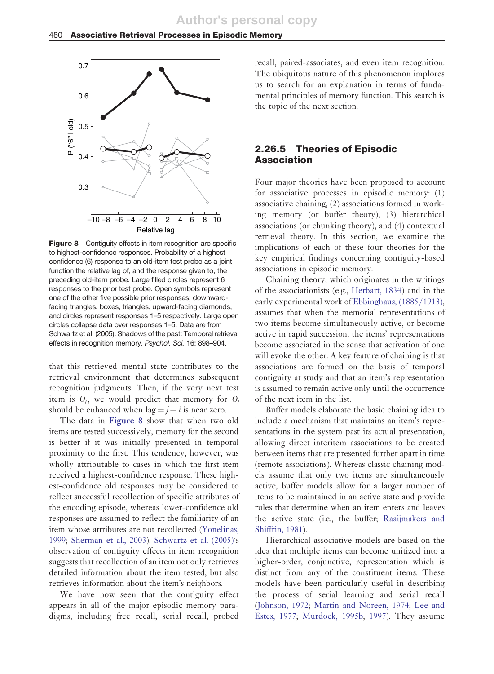

Figure 8 Contiguity effects in item recognition are specific to highest-confidence responses. Probability of a highest confidence (6) response to an old-item test probe as a joint function the relative lag of, and the response given to, the preceding old-item probe. Large filled circles represent 6 responses to the prior test probe. Open symbols represent one of the other five possible prior responses; downwardfacing triangles, boxes, triangles, upward-facing diamonds, and circles represent responses 1–5 respectively. Large open circles collapse data over responses 1–5. Data are from Schwartz et al. (2005). Shadows of the past: Temporal retrieval effects in recognition memory. Psychol. Sci. 16: 898–904.

that this retrieved mental state contributes to the retrieval environment that determines subsequent recognition judgments. Then, if the very next test item is  $O_i$ , we would predict that memory for  $O_i$ should be enhanced when  $\log = j - i$  is near zero.

The data in **Figure 8** show that when two old items are tested successively, memory for the second is better if it was initially presented in temporal proximity to the first. This tendency, however, was wholly attributable to cases in which the first item received a highest-confidence response. These highest-confidence old responses may be considered to reflect successful recollection of specific attributes of the encoding episode, whereas lower-confidence old responses are assumed to reflect the familiarity of an item whose attributes are not recollected (Yonelinas, 1999; Sherman et al., 2003). Schwartz et al. (2005)'s observation of contiguity effects in item recognition suggests that recollection of an item not only retrieves detailed information about the item tested, but also retrieves information about the item's neighbors.

We have now seen that the contiguity effect appears in all of the major episodic memory paradigms, including free recall, serial recall, probed recall, paired-associates, and even item recognition. The ubiquitous nature of this phenomenon implores us to search for an explanation in terms of fundamental principles of memory function. This search is the topic of the next section.

## 2.26.5 Theories of Episodic Association

Four major theories have been proposed to account for associative processes in episodic memory: (1) associative chaining, (2) associations formed in working memory (or buffer theory), (3) hierarchical associations (or chunking theory), and (4) contextual retrieval theory. In this section, we examine the implications of each of these four theories for the key empirical findings concerning contiguity-based associations in episodic memory.

Chaining theory, which originates in the writings of the associationists (e.g., [Herbart, 1834\)](#page-21-0) and in the early experimental work of [Ebbinghaus, \(1885/1913\)](#page-20-0), assumes that when the memorial representations of two items become simultaneously active, or become active in rapid succession, the items' representations become associated in the sense that activation of one will evoke the other. A key feature of chaining is that associations are formed on the basis of temporal contiguity at study and that an item's representation is assumed to remain active only until the occurrence of the next item in the list.

Buffer models elaborate the basic chaining idea to include a mechanism that maintains an item's representations in the system past its actual presentation, allowing direct interitem associations to be created between items that are presented further apart in time (remote associations). Whereas classic chaining models assume that only two items are simultaneously active, buffer models allow for a larger number of items to be maintained in an active state and provide rules that determine when an item enters and leaves the active state (i.e., the buffer; Raaijmakers and Shiffrin, 1981).

Hierarchical associative models are based on the idea that multiple items can become unitized into a higher-order, conjunctive, representation which is distinct from any of the constituent items. These models have been particularly useful in describing the process of serial learning and serial recall (Johnson, 1972; Martin and Noreen, 1974; Lee and Estes, 1977; Murdock, 1995b, 1997). They assume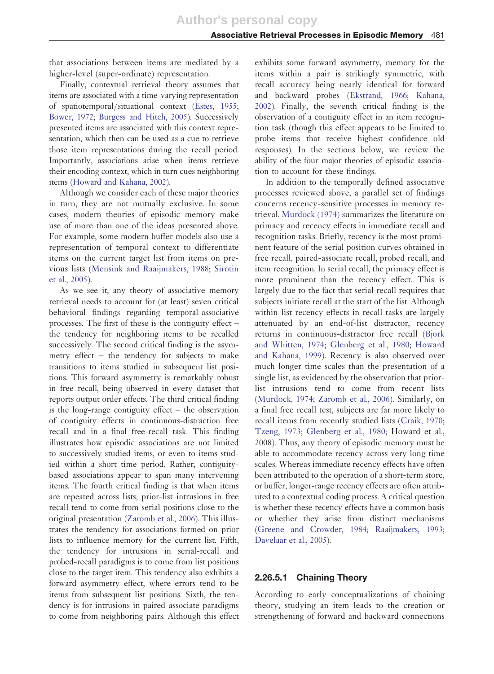that associations between items are mediated by a higher-level (super-ordinate) representation.

Finally, contextual retrieval theory assumes that items are associated with a time-varying representation of spatiotemporal/situational context ([Estes, 1955](#page-20-0); [Bower, 1972;](#page-20-0) [Burgess and Hitch, 2005\)](#page-20-0). Successively presented items are associated with this context representation, which then can be used as a cue to retrieve those item representations during the recall period. Importantly, associations arise when items retrieve their encoding context, which in turn cues neighboring items (Howard and Kahana, 2002).

Although we consider each of these major theories in turn, they are not mutually exclusive. In some cases, modern theories of episodic memory make use of more than one of the ideas presented above. For example, some modern buffer models also use a representation of temporal context to differentiate items on the current target list from items on previous lists (Mensink and Raaijmakers, 1988; Sirotin et al., 2005).

As we see it, any theory of associative memory retrieval needs to account for (at least) seven critical behavioral findings regarding temporal-associative processes. The first of these is the contiguity effect – the tendency for neighboring items to be recalled successively. The second critical finding is the asymmetry effect – the tendency for subjects to make transitions to items studied in subsequent list positions. This forward asymmetry is remarkably robust in free recall, being observed in every dataset that reports output order effects. The third critical finding is the long-range contiguity effect – the observation of contiguity effects in continuous-distraction free recall and in a final free-recall task. This finding illustrates how episodic associations are not limited to successively studied items, or even to items studied within a short time period. Rather, contiguitybased associations appear to span many intervening items. The fourth critical finding is that when items are repeated across lists, prior-list intrusions in free recall tend to come from serial positions close to the original presentation (Zaromb et al., 2006). This illustrates the tendency for associations formed on prior lists to influence memory for the current list. Fifth, the tendency for intrusions in serial-recall and probed-recall paradigms is to come from list positions close to the target item. This tendency also exhibits a forward asymmetry effect, where errors tend to be items from subsequent list positions. Sixth, the tendency is for intrusions in paired-associate paradigms to come from neighboring pairs. Although this effect exhibits some forward asymmetry, memory for the items within a pair is strikingly symmetric, with recall accuracy being nearly identical for forward and backward probes ([Ekstrand, 1966;](#page-20-0) Kahana, 2002). Finally, the seventh critical finding is the observation of a contiguity effect in an item recognition task (though this effect appears to be limited to probe items that receive highest confidence old responses). In the sections below, we review the ability of the four major theories of episodic association to account for these findings.

In addition to the temporally defined associative processes reviewed above, a parallel set of findings concerns recency-sensitive processes in memory retrieval. Murdock (1974) summarizes the literature on primacy and recency effects in immediate recall and recognition tasks. Briefly, recency is the most prominent feature of the serial position curves obtained in free recall, paired-associate recall, probed recall, and item recognition. In serial recall, the primacy effect is more prominent than the recency effect. This is largely due to the fact that serial recall requires that subjects initiate recall at the start of the list. Although within-list recency effects in recall tasks are largely attenuated by an end-of-list distractor, recency returns in continuous-distractor free recall ([Bjork](#page-20-0) [and Whitten, 1974;](#page-20-0) [Glenberg et al., 1980](#page-20-0); Howard and Kahana, 1999). Recency is also observed over much longer time scales than the presentation of a single list, as evidenced by the observation that priorlist intrusions tend to come from recent lists (Murdock, 1974; Zaromb et al., 2006). Similarly, on a final free recall test, subjects are far more likely to recall items from recently studied lists ([Craik, 1970](#page-20-0); Tzeng, 1973; [Glenberg et al., 1980;](#page-20-0) Howard et al., 2008). Thus, any theory of episodic memory must be able to accommodate recency across very long time scales. Whereas immediate recency effects have often been attributed to the operation of a short-term store, or buffer, longer-range recency effects are often attributed to a contextual coding process. A critical question is whether these recency effects have a common basis or whether they arise from distinct mechanisms [\(Greene and Crowder, 1984](#page-20-0); Raaijmakers, 1993; [Davelaar et al., 2005](#page-20-0)).

#### 2.26.5.1 Chaining Theory

According to early conceptualizations of chaining theory, studying an item leads to the creation or strengthening of forward and backward connections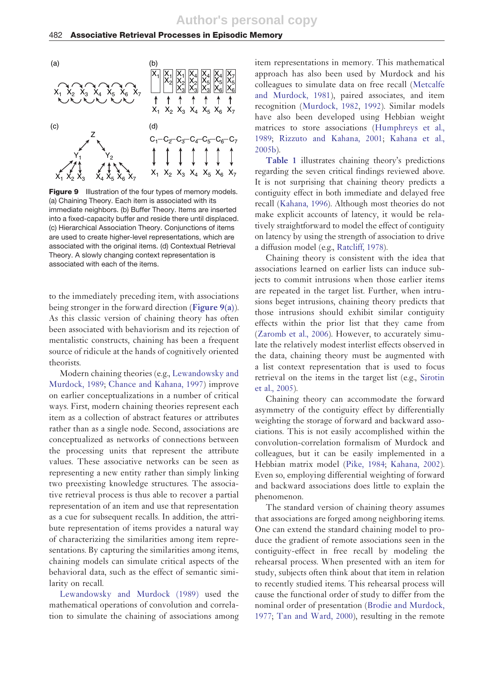#### 482 Associative Retrieval Processes in Episodic Memory



Figure 9 Illustration of the four types of memory models. (a) Chaining Theory. Each item is associated with its immediate neighbors. (b) Buffer Theory. Items are inserted into a fixed-capacity buffer and reside there until displaced. (c) Hierarchical Association Theory. Conjunctions of items are used to create higher-level representations, which are associated with the original items. (d) Contextual Retrieval Theory. A slowly changing context representation is associated with each of the items.

to the immediately preceding item, with associations being stronger in the forward direction (**Figure 9(a)**). As this classic version of chaining theory has often been associated with behaviorism and its rejection of mentalistic constructs, chaining has been a frequent source of ridicule at the hands of cognitively oriented theorists.

Modern chaining theories (e.g., Lewandowsky and Murdock, 1989; [Chance and Kahana, 1997](#page-20-0)) improve on earlier conceptualizations in a number of critical ways. First, modern chaining theories represent each item as a collection of abstract features or attributes rather than as a single node. Second, associations are conceptualized as networks of connections between the processing units that represent the attribute values. These associative networks can be seen as representing a new entity rather than simply linking two preexisting knowledge structures. The associative retrieval process is thus able to recover a partial representation of an item and use that representation as a cue for subsequent recalls. In addition, the attribute representation of items provides a natural way of characterizing the similarities among item representations. By capturing the similarities among items, chaining models can simulate critical aspects of the behavioral data, such as the effect of semantic similarity on recall.

Lewandowsky and Murdock (1989) used the mathematical operations of convolution and correlation to simulate the chaining of associations among item representations in memory. This mathematical approach has also been used by Murdock and his colleagues to simulate data on free recall (Metcalfe and Murdock, 1981), paired associates, and item recognition (Murdock, 1982, 1992). Similar models have also been developed using Hebbian weight matrices to store associations (Humphreys et al., 1989; Rizzuto and Kahana, 2001; Kahana et al., 2005b).

**Table 1** illustrates chaining theory's predictions regarding the seven critical findings reviewed above. It is not surprising that chaining theory predicts a contiguity effect in both immediate and delayed free recall (Kahana, 1996). Although most theories do not make explicit accounts of latency, it would be relatively straightforward to model the effect of contiguity on latency by using the strength of association to drive a diffusion model (e.g., Ratcliff, 1978).

Chaining theory is consistent with the idea that associations learned on earlier lists can induce subjects to commit intrusions when those earlier items are repeated in the target list. Further, when intrusions beget intrusions, chaining theory predicts that those intrusions should exhibit similar contiguity effects within the prior list that they came from (Zaromb et al., 2006). However, to accurately simulate the relatively modest interlist effects observed in the data, chaining theory must be augmented with a list context representation that is used to focus retrieval on the items in the target list (e.g., Sirotin et al., 2005).

Chaining theory can accommodate the forward asymmetry of the contiguity effect by differentially weighting the storage of forward and backward associations. This is not easily accomplished within the convolution-correlation formalism of Murdock and colleagues, but it can be easily implemented in a Hebbian matrix model (Pike, 1984; Kahana, 2002). Even so, employing differential weighting of forward and backward associations does little to explain the phenomenon.

The standard version of chaining theory assumes that associations are forged among neighboring items. One can extend the standard chaining model to produce the gradient of remote associations seen in the contiguity-effect in free recall by modeling the rehearsal process. When presented with an item for study, subjects often think about that item in relation to recently studied items. This rehearsal process will cause the functional order of study to differ from the nominal order of presentation [\(Brodie and Murdock,](#page-20-0) [1977;](#page-20-0) Tan and Ward, 2000), resulting in the remote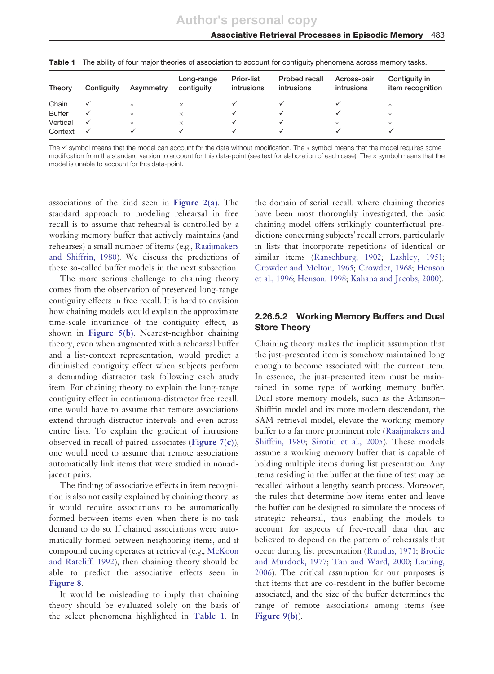| Theory        | Contiguity   | Asymmetry | Long-range<br>contiguity | Prior-list<br>intrusions | Probed recall<br>intrusions | Across-pair<br>intrusions | Contiguity in<br>item recognition |
|---------------|--------------|-----------|--------------------------|--------------------------|-----------------------------|---------------------------|-----------------------------------|
| Chain         |              | $\ast$    | ×                        |                          |                             |                           | *                                 |
| <b>Buffer</b> | ✓            | $\ast$    | $\times$                 |                          |                             |                           | $\ast$                            |
| Vertical      |              | $\ast$    | ×                        |                          |                             | $\ast$                    | $\ast$                            |
| Context       | $\checkmark$ |           |                          |                          |                             |                           |                                   |

Table 1 The ability of four major theories of association to account for contiguity phenomena across memory tasks.

The  $\checkmark$  symbol means that the model can account for the data without modification. The  $*$  symbol means that the model requires some modification from the standard version to account for this data-point (see text for elaboration of each case). The x symbol means that the model is unable to account for this data-point.

associations of the kind seen in **Figure 2(a)**. The standard approach to modeling rehearsal in free recall is to assume that rehearsal is controlled by a working memory buffer that actively maintains (and rehearses) a small number of items (e.g., Raaijmakers and Shiffrin, 1980). We discuss the predictions of these so-called buffer models in the next subsection.

The more serious challenge to chaining theory comes from the observation of preserved long-range contiguity effects in free recall. It is hard to envision how chaining models would explain the approximate time-scale invariance of the contiguity effect, as shown in **Figure 5(b)**. Nearest-neighbor chaining theory, even when augmented with a rehearsal buffer and a list-context representation, would predict a diminished contiguity effect when subjects perform a demanding distractor task following each study item. For chaining theory to explain the long-range contiguity effect in continuous-distractor free recall, one would have to assume that remote associations extend through distractor intervals and even across entire lists. To explain the gradient of intrusions observed in recall of paired-associates (**Figure 7(c)**), one would need to assume that remote associations automatically link items that were studied in nonadjacent pairs.

The finding of associative effects in item recognition is also not easily explained by chaining theory, as it would require associations to be automatically formed between items even when there is no task demand to do so. If chained associations were automatically formed between neighboring items, and if compound cueing operates at retrieval (e.g., McKoon and Ratcliff, 1992), then chaining theory should be able to predict the associative effects seen in **Figure 8**.

It would be misleading to imply that chaining theory should be evaluated solely on the basis of the select phenomena highlighted in **Table 1**. In the domain of serial recall, where chaining theories have been most thoroughly investigated, the basic chaining model offers strikingly counterfactual predictions concerning subjects' recall errors, particularly in lists that incorporate repetitions of identical or similar items (Ranschburg, 1902; Lashley, 1951; [Crowder and Melton, 1965;](#page-20-0) [Crowder, 1968](#page-20-0); [Henson](#page-21-0) [et al., 1996](#page-21-0); [Henson, 1998;](#page-21-0) Kahana and Jacobs, 2000).

### 2.26.5.2 Working Memory Buffers and Dual Store Theory

Chaining theory makes the implicit assumption that the just-presented item is somehow maintained long enough to become associated with the current item. In essence, the just-presented item must be maintained in some type of working memory buffer. Dual-store memory models, such as the Atkinson– Shiffrin model and its more modern descendant, the SAM retrieval model, elevate the working memory buffer to a far more prominent role (Raaijmakers and Shiffrin, 1980; Sirotin et al., 2005). These models assume a working memory buffer that is capable of holding multiple items during list presentation. Any items residing in the buffer at the time of test may be recalled without a lengthy search process. Moreover, the rules that determine how items enter and leave the buffer can be designed to simulate the process of strategic rehearsal, thus enabling the models to account for aspects of free-recall data that are believed to depend on the pattern of rehearsals that occur during list presentation (Rundus, 1971; [Brodie](#page-20-0) [and Murdock, 1977](#page-20-0); Tan and Ward, 2000; Laming, 2006). The critical assumption for our purposes is that items that are co-resident in the buffer become associated, and the size of the buffer determines the range of remote associations among items (see **Figure 9(b)**).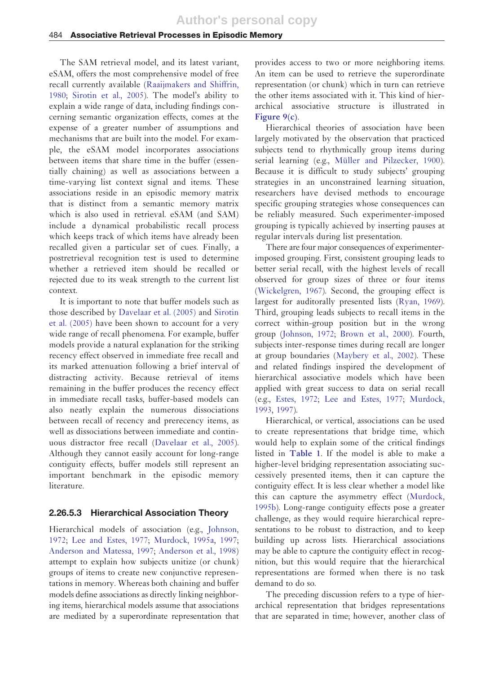#### 484 Associative Retrieval Processes in Episodic Memory

The SAM retrieval model, and its latest variant, eSAM, offers the most comprehensive model of free recall currently available (Raaijmakers and Shiffrin, 1980; Sirotin et al., 2005). The model's ability to explain a wide range of data, including findings concerning semantic organization effects, comes at the expense of a greater number of assumptions and mechanisms that are built into the model. For example, the eSAM model incorporates associations between items that share time in the buffer (essentially chaining) as well as associations between a time-varying list context signal and items. These associations reside in an episodic memory matrix that is distinct from a semantic memory matrix which is also used in retrieval. eSAM (and SAM) include a dynamical probabilistic recall process which keeps track of which items have already been recalled given a particular set of cues. Finally, a postretrieval recognition test is used to determine whether a retrieved item should be recalled or rejected due to its weak strength to the current list context.

It is important to note that buffer models such as those described by [Davelaar et al. \(2005\)](#page-20-0) and Sirotin et al. (2005) have been shown to account for a very wide range of recall phenomena. For example, buffer models provide a natural explanation for the striking recency effect observed in immediate free recall and its marked attenuation following a brief interval of distracting activity. Because retrieval of items remaining in the buffer produces the recency effect in immediate recall tasks, buffer-based models can also neatly explain the numerous dissociations between recall of recency and prerecency items, as well as dissociations between immediate and continuous distractor free recall ([Davelaar et al., 2005](#page-20-0)). Although they cannot easily account for long-range contiguity effects, buffer models still represent an important benchmark in the episodic memory literature.

### 2.26.5.3 Hierarchical Association Theory

Hierarchical models of association (e.g., Johnson, 1972; Lee and Estes, 1977; Murdock, 1995a, 1997; [Anderson and Matessa, 1997](#page-20-0); [Anderson et al., 1998](#page-20-0)) attempt to explain how subjects unitize (or chunk) groups of items to create new conjunctive representations in memory. Whereas both chaining and buffer models define associations as directly linking neighboring items, hierarchical models assume that associations are mediated by a superordinate representation that provides access to two or more neighboring items. An item can be used to retrieve the superordinate representation (or chunk) which in turn can retrieve the other items associated with it. This kind of hierarchical associative structure is illustrated in **Figure 9(c)**.

Hierarchical theories of association have been largely motivated by the observation that practiced subjects tend to rhythmically group items during serial learning (e.g., Müller and Pilzecker, 1900). Because it is difficult to study subjects' grouping strategies in an unconstrained learning situation, researchers have devised methods to encourage specific grouping strategies whose consequences can be reliably measured. Such experimenter-imposed grouping is typically achieved by inserting pauses at regular intervals during list presentation.

There are four major consequences of experimenterimposed grouping. First, consistent grouping leads to better serial recall, with the highest levels of recall observed for group sizes of three or four items (Wickelgren, 1967). Second, the grouping effect is largest for auditorally presented lists (Ryan, 1969). Third, grouping leads subjects to recall items in the correct within-group position but in the wrong group (Johnson, 1972; [Brown et al., 2000\)](#page-20-0). Fourth, subjects inter-response times during recall are longer at group boundaries (Maybery et al., 2002). These and related findings inspired the development of hierarchical associative models which have been applied with great success to data on serial recall (e.g., [Estes, 1972](#page-20-0); Lee and Estes, 1977; Murdock, 1993, 1997).

Hierarchical, or vertical, associations can be used to create representations that bridge time, which would help to explain some of the critical findings listed in **Table 1**. If the model is able to make a higher-level bridging representation associating successively presented items, then it can capture the contiguity effect. It is less clear whether a model like this can capture the asymmetry effect (Murdock, 1995b). Long-range contiguity effects pose a greater challenge, as they would require hierarchical representations to be robust to distraction, and to keep building up across lists. Hierarchical associations may be able to capture the contiguity effect in recognition, but this would require that the hierarchical representations are formed when there is no task demand to do so.

The preceding discussion refers to a type of hierarchical representation that bridges representations that are separated in time; however, another class of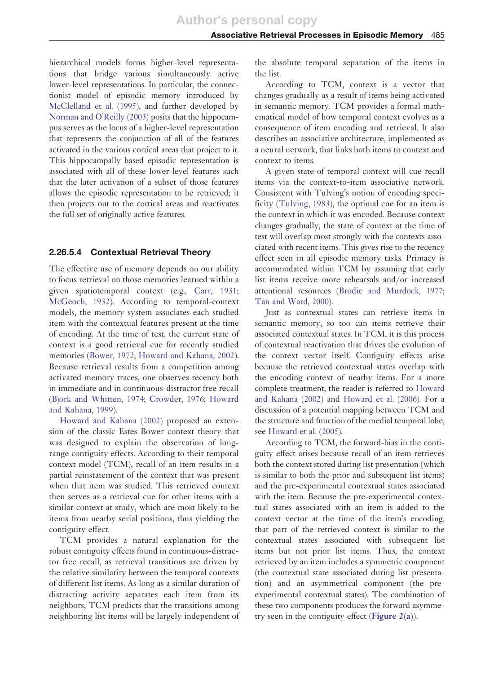hierarchical models forms higher-level representations that bridge various simultaneously active lower-level representations. In particular, the connectionist model of episodic memory introduced by McClelland et al. (1995), and further developed by Norman and O'Reilly (2003) posits that the hippocampus serves as the locus of a higher-level representation that represents the conjunction of all of the features activated in the various cortical areas that project to it. This hippocampally based episodic representation is associated with all of these lower-level features such that the later activation of a subset of those features allows the episodic representation to be retrieved; it then projects out to the cortical areas and reactivates the full set of originally active features.

#### 2.26.5.4 Contextual Retrieval Theory

The effective use of memory depends on our ability to focus retrieval on those memories learned within a given spatiotemporal context (e.g., [Carr, 1931](#page-20-0); McGeoch, 1932). According to temporal-context models, the memory system associates each studied item with the contextual features present at the time of encoding. At the time of test, the current state of context is a good retrieval cue for recently studied memories ([Bower, 1972;](#page-20-0) Howard and Kahana, 2002). Because retrieval results from a competition among activated memory traces, one observes recency both in immediate and in continuous-distractor free recall [\(Bjork and Whitten, 1974;](#page-20-0) [Crowder, 1976;](#page-20-0) Howard and Kahana, 1999).

Howard and Kahana (2002) proposed an extension of the classic Estes-Bower context theory that was designed to explain the observation of longrange contiguity effects. According to their temporal context model (TCM), recall of an item results in a partial reinstatement of the context that was present when that item was studied. This retrieved context then serves as a retrieval cue for other items with a similar context at study, which are most likely to be items from nearby serial positions, thus yielding the contiguity effect.

TCM provides a natural explanation for the robust contiguity effects found in continuous-distractor free recall, as retrieval transitions are driven by the relative similarity between the temporal contexts of different list items. As long as a similar duration of distracting activity separates each item from its neighbors, TCM predicts that the transitions among neighboring list items will be largely independent of the absolute temporal separation of the items in the list.

According to TCM, context is a vector that changes gradually as a result of items being activated in semantic memory. TCM provides a formal mathematical model of how temporal context evolves as a consequence of item encoding and retrieval. It also describes an associative architecture, implemented as a neural network, that links both items to context and context to items.

A given state of temporal context will cue recall items via the context-to-item associative network. Consistent with Tulving's notion of encoding specificity (Tulving, 1983), the optimal cue for an item is the context in which it was encoded. Because context changes gradually, the state of context at the time of test will overlap most strongly with the contexts associated with recent items. This gives rise to the recency effect seen in all episodic memory tasks. Primacy is accommodated within TCM by assuming that early list items receive more rehearsals and/or increased attentional resources ([Brodie and Murdock, 1977](#page-20-0); Tan and Ward, 2000).

Just as contextual states can retrieve items in semantic memory, so too can items retrieve their associated contextual states. In TCM, it is this process of contextual reactivation that drives the evolution of the context vector itself. Contiguity effects arise because the retrieved contextual states overlap with the encoding context of nearby items. For a more complete treatment, the reader is referred to Howard and Kahana (2002) and Howard et al. (2006). For a discussion of a potential mapping between TCM and the structure and function of the medial temporal lobe, see Howard et al. (2005).

According to TCM, the forward-bias in the contiguity effect arises because recall of an item retrieves both the context stored during list presentation (which is similar to both the prior and subsequent list items) and the pre-experimental contextual states associated with the item. Because the pre-experimental contextual states associated with an item is added to the context vector at the time of the item's encoding, that part of the retrieved context is similar to the contextual states associated with subsequent list items but not prior list items. Thus, the context retrieved by an item includes a symmetric component (the contextual state associated during list presentation) and an asymmetrical component (the preexperimental contextual states). The combination of these two components produces the forward asymmetry seen in the contiguity effect (**Figure 2(a)**).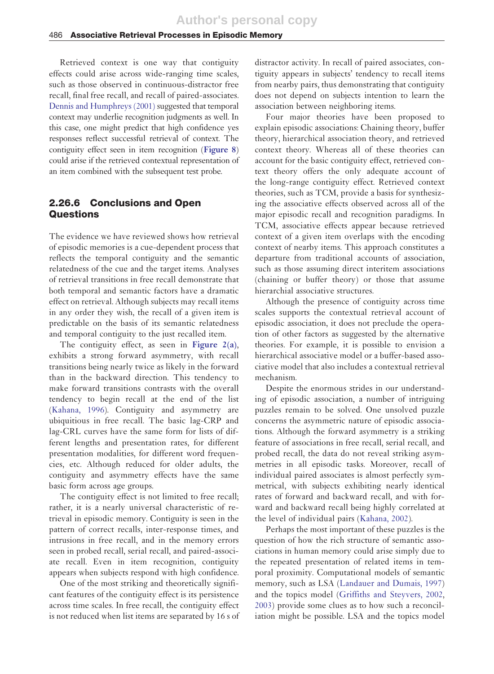Retrieved context is one way that contiguity effects could arise across wide-ranging time scales, such as those observed in continuous-distractor free recall, final free recall, and recall of paired-associates. [Dennis and Humphreys \(2001\)](#page-20-0) suggested that temporal context may underlie recognition judgments as well. In this case, one might predict that high confidence yes responses reflect successful retrieval of context. The contiguity effect seen in item recognition (**Figure 8**) could arise if the retrieved contextual representation of an item combined with the subsequent test probe.

# 2.26.6 Conclusions and Open **Questions**

The evidence we have reviewed shows how retrieval of episodic memories is a cue-dependent process that reflects the temporal contiguity and the semantic relatedness of the cue and the target items. Analyses of retrieval transitions in free recall demonstrate that both temporal and semantic factors have a dramatic effect on retrieval. Although subjects may recall items in any order they wish, the recall of a given item is predictable on the basis of its semantic relatedness and temporal contiguity to the just recalled item.

The contiguity effect, as seen in **Figure 2(a)**, exhibits a strong forward asymmetry, with recall transitions being nearly twice as likely in the forward than in the backward direction. This tendency to make forward transitions contrasts with the overall tendency to begin recall at the end of the list (Kahana, 1996). Contiguity and asymmetry are ubiquitious in free recall. The basic lag-CRP and lag-CRL curves have the same form for lists of different lengths and presentation rates, for different presentation modalities, for different word frequencies, etc. Although reduced for older adults, the contiguity and asymmetry effects have the same basic form across age groups.

The contiguity effect is not limited to free recall; rather, it is a nearly universal characteristic of retrieval in episodic memory. Contiguity is seen in the pattern of correct recalls, inter-response times, and intrusions in free recall, and in the memory errors seen in probed recall, serial recall, and paired-associate recall. Even in item recognition, contiguity appears when subjects respond with high confidence.

One of the most striking and theoretically significant features of the contiguity effect is its persistence across time scales. In free recall, the contiguity effect is not reduced when list items are separated by 16 s of distractor activity. In recall of paired associates, contiguity appears in subjects' tendency to recall items from nearby pairs, thus demonstrating that contiguity does not depend on subjects intention to learn the association between neighboring items.

Four major theories have been proposed to explain episodic associations: Chaining theory, buffer theory, hierarchical association theory, and retrieved context theory. Whereas all of these theories can account for the basic contiguity effect, retrieved context theory offers the only adequate account of the long-range contiguity effect. Retrieved context theories, such as TCM, provide a basis for synthesizing the associative effects observed across all of the major episodic recall and recognition paradigms. In TCM, associative effects appear because retrieved context of a given item overlaps with the encoding context of nearby items. This approach constitutes a departure from traditional accounts of association, such as those assuming direct interitem associations (chaining or buffer theory) or those that assume hierarchial associative structures.

Although the presence of contiguity across time scales supports the contextual retrieval account of episodic association, it does not preclude the operation of other factors as suggested by the alternative theories. For example, it is possible to envision a hierarchical associative model or a buffer-based associative model that also includes a contextual retrieval mechanism.

Despite the enormous strides in our understanding of episodic association, a number of intriguing puzzles remain to be solved. One unsolved puzzle concerns the asymmetric nature of episodic associations. Although the forward asymmetry is a striking feature of associations in free recall, serial recall, and probed recall, the data do not reveal striking asymmetries in all episodic tasks. Moreover, recall of individual paired associates is almost perfectly symmetrical, with subjects exhibiting nearly identical rates of forward and backward recall, and with forward and backward recall being highly correlated at the level of individual pairs (Kahana, 2002).

Perhaps the most important of these puzzles is the question of how the rich structure of semantic associations in human memory could arise simply due to the repeated presentation of related items in temporal proximity. Computational models of semantic memory, such as LSA (Landauer and Dumais, 1997) and the topics model [\(Griffiths and Steyvers, 2002](#page-21-0), [2003\)](#page-21-0) provide some clues as to how such a reconciliation might be possible. LSA and the topics model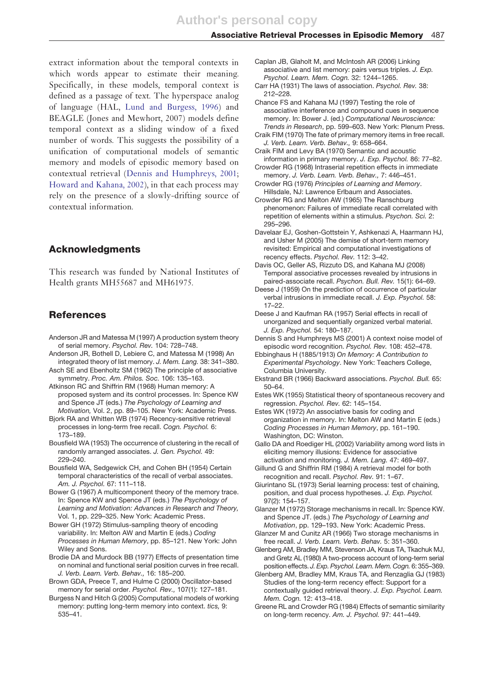<span id="page-20-0"></span>extract information about the temporal contexts in which words appear to estimate their meaning. Specifically, in these models, temporal context is defined as a passage of text. The hyperspace analog of language (HAL, Lund and Burgess, 1996) and BEAGLE (Jones and Mewhort, 2007) models define temporal context as a sliding window of a fixed number of words. This suggests the possibility of a unification of computational models of semantic memory and models of episodic memory based on contextual retrieval (Dennis and Humphreys, 2001; Howard and Kahana, 2002), in that each process may rely on the presence of a slowly-drifting source of contextual information.

### Acknowledgments

This research was funded by National Institutes of Health grants MH55687 and MH61975.

### **References**

- Anderson JR and Matessa M (1997) A production system theory of serial memory. Psychol. Rev. 104: 728–748.
- Anderson JR, Bothell D, Lebiere C, and Matessa M (1998) An integrated theory of list memory. J. Mem. Lang. 38: 341–380.
- Asch SE and Ebenholtz SM (1962) The principle of associative symmetry. Proc. Am. Philos. Soc. 106: 135–163.
- Atkinson RC and Shiffrin RM (1968) Human memory: A proposed system and its control processes. In: Spence KW and Spence JT (eds.) The Psychology of Learning and Motivation, Vol. 2, pp. 89–105. New York: Academic Press.
- Bjork RA and Whitten WB (1974) Recency-sensitive retrieval processes in long-term free recall. Cogn. Psychol. 6: 173–189.
- Bousfield WA (1953) The occurrence of clustering in the recall of randomly arranged associates. J. Gen. Psychol. 49: 229–240.
- Bousfield WA, Sedgewick CH, and Cohen BH (1954) Certain temporal characteristics of the recall of verbal associates. Am. J. Psychol. 67: 111–118.
- Bower G (1967) A multicomponent theory of the memory trace. In: Spence KW and Spence JT (eds.) The Psychology of Learning and Motivation: Advances in Research and Theory, Vol. 1, pp. 229–325. New York: Academic Press.
- Bower GH (1972) Stimulus-sampling theory of encoding variability. In: Melton AW and Martin E (eds.) Coding Processes in Human Memory, pp. 85–121. New York: John Wiley and Sons.
- Brodie DA and Murdock BB (1977) Effects of presentation time on nominal and functional serial position curves in free recall. J. Verb. Learn. Verb. Behav., 16: 185–200.

Brown GDA, Preece T, and Hulme C (2000) Oscillator-based memory for serial order. Psychol. Rev., 107(1): 127–181.

Burgess N and Hitch G (2005) Computational models of working memory: putting long-term memory into context. tics, 9: 535–41.

- Caplan JB, Glaholt M, and McIntosh AR (2006) Linking associative and list memory: pairs versus triples. J. Exp. Psychol. Learn. Mem. Cogn. 32: 1244–1265.
- Carr HA (1931) The laws of association. Psychol. Rev. 38: 212–228.
- Chance FS and Kahana MJ (1997) Testing the role of associative interference and compound cues in sequence memory. In: Bower J. (ed.) Computational Neuroscience: Trends in Research, pp. 599–603. New York: Plenum Press.
- Craik FIM (1970) The fate of primary memory items in free recall. J. Verb. Learn. Verb. Behav., 9: 658–664.
- Craik FIM and Levy BA (1970) Semantic and acoustic information in primary memory. J. Exp. Psychol. 86: 77–82.
- Crowder RG (1968) Intraserial repetition effects in immediate memory. J. Verb. Learn. Verb. Behav., 7: 446–451.
- Crowder RG (1976) Principles of Learning and Memory. Hillsdale, NJ: Lawrence Erlbaum and Associates.
- Crowder RG and Melton AW (1965) The Ranschburg phenomenon: Failures of immediate recall correlated with repetition of elements within a stimulus. Psychon. Sci. 2: 295–296.
- Davelaar EJ, Goshen-Gottstein Y, Ashkenazi A, Haarmann HJ, and Usher M (2005) The demise of short-term memory revisited: Empirical and computational investigations of recency effects. Psychol. Rev. 112: 3–42.
- Davis OC, Geller AS, Rizzuto DS, and Kahana MJ (2008) Temporal associative processes revealed by intrusions in paired-associate recall. Psychon. Bull. Rev. 15(1): 64–69.
- Deese J (1959) On the prediction of occurrence of particular verbal intrusions in immediate recall. J. Exp. Psychol. 58: 17–22.
- Deese J and Kaufman RA (1957) Serial effects in recall of unorganized and sequentially organized verbal material. J. Exp. Psychol. 54: 180–187.
- Dennis S and Humphreys MS (2001) A context noise model of episodic word recognition. Psychol. Rev. 108: 452–478.
- Ebbinghaus H (1885/1913) On Memory: A Contribution to Experimental Psychology. New York: Teachers College, Columbia University.
- Ekstrand BR (1966) Backward associations. Psychol. Bull. 65: 50–64.
- Estes WK (1955) Statistical theory of spontaneous recovery and regression. Psychol. Rev. 62: 145–154.
- Estes WK (1972) An associative basis for coding and organization in memory. In: Melton AW and Martin E (eds.) Coding Processes in Human Memory, pp. 161–190. Washington, DC: Winston.
- Gallo DA and Roediger HL (2002) Variability among word lists in eliciting memory illusions: Evidence for associative activation and monitoring. J. Mem. Lang. 47: 469–497.
- Gillund G and Shiffrin RM (1984) A retrieval model for both recognition and recall. Psychol. Rev. 91: 1–67.
- Giurintano SL (1973) Serial learning process: test of chaining, position, and dual process hypotheses. J. Exp. Psychol. 97(2): 154–157.
- Glanzer M (1972) Storage mechanisms in recall. In: Spence KW. and Spence JT. (eds.) The Psychology of Learning and Motivation, pp. 129–193. New York: Academic Press.
- Glanzer M and Cunitz AR (1966) Two storage mechanisms in free recall. J. Verb. Learn. Verb. Behav. 5: 351–360.
- Glenberg AM, Bradley MM, Stevenson JA, Kraus TA, Tkachuk MJ, and Gretz AL (1980) A two-process account of long-term serial position effects. J. Exp. Psychol. Learn. Mem. Cogn. 6: 355-369.
- Glenberg AM, Bradley MM, Kraus TA, and Renzaglia GJ (1983) Studies of the long-term recency effect: Support for a contextually guided retrieval theory. J. Exp. Psychol. Learn. Mem. Cogn. 12: 413–418.
- Greene RL and Crowder RG (1984) Effects of semantic similarity on long-term recency. Am. J. Psychol. 97: 441–449.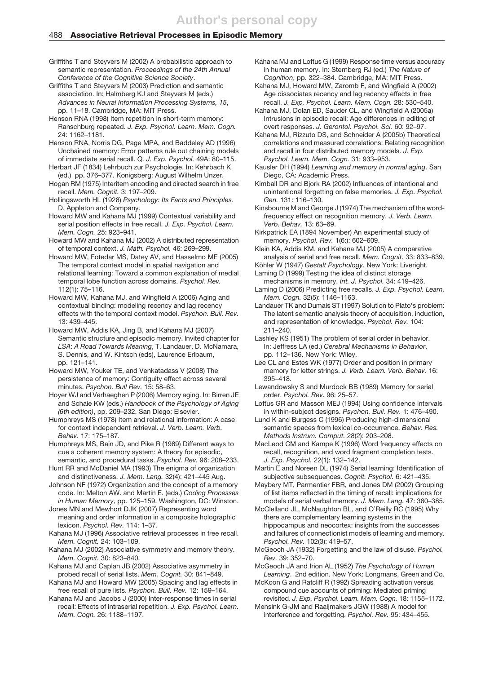#### <span id="page-21-0"></span>488 Associative Retrieval Processes in Episodic Memory

Griffiths T and Steyvers M (2002) A probabilistic approach to semantic representation. Proceedings of the 24th Annual Conference of the Cognitive Science Society.

Griffiths T and Steyvers M (2003) Prediction and semantic association. In: Halmberg KJ and Steyvers M (eds.) Advances in Neural Information Processing Systems, 15, pp. 11–18. Cambridge, MA: MIT Press.

Henson RNA (1998) Item repetition in short-term memory: Ranschburg repeated. J. Exp. Psychol. Learn. Mem. Cogn. 24: 1162–1181.

Henson RNA, Norris DG, Page MPA, and Baddeley AD (1996) Unchained memory: Error patterns rule out chaining models of immediate serial recall. Q. J. Exp. Psychol. 49A: 80–115.

Herbart JF (1834) Lehrbuch zur Psychologie. In: Kehrbach K (ed.) pp. 376–377. Konigsberg: August Wilhelm Unzer.

Hogan RM (1975) Interitem encoding and directed search in free recall. Mem. Cognit. 3: 197–209.

Hollingsworth HL (1928) Psychology: Its Facts and Principles. D. Appleton and Company.

Howard MW and Kahana MJ (1999) Contextual variability and serial position effects in free recall. J. Exp. Psychol. Learn. Mem. Cogn. 25: 923–941.

Howard MW and Kahana MJ (2002) A distributed representation of temporal context. J. Math. Psychol. 46: 269–299.

Howard MW, Fotedar MS, Datey AV, and Hasselmo ME (2005) The temporal context model in spatial navigation and relational learning: Toward a common explanation of medial temporal lobe function across domains. Psychol. Rev. 112(1): 75–116.

Howard MW, Kahana MJ, and Wingfield A (2006) Aging and contextual binding: modeling recency and lag recency effects with the temporal context model. Psychon. Bull. Rev. 13: 439–445.

Howard MW, Addis KA, Jing B, and Kahana MJ (2007) Semantic structure and episodic memory. Invited chapter for LSA: A Road Towards Meaning, T. Landauer, D. McNamara, S. Dennis, and W. Kintsch (eds), Laurence Erlbaum, pp. 121–141.

Howard MW, Youker TE, and Venkatadass V (2008) The persistence of memory: Contiguity effect across several minutes. Psychon. Bull Rev. 15: 58–63.

Hoyer WJ and Verhaeghen P (2006) Memory aging. In: Birren JE and Schaie KW (eds.) Handbook of the Psychology of Aging (6th edition), pp. 209–232. San Diego: Elsevier.

Humphreys MS (1978) Item and relational information: A case for context independent retrieval. J. Verb. Learn. Verb. Behav. 17: 175–187.

Humphreys MS, Bain JD, and Pike R (1989) Different ways to cue a coherent memory system: A theory for episodic, semantic, and procedural tasks. Psychol. Rev. 96: 208–233.

Hunt RR and McDaniel MA (1993) The enigma of organization and distinctiveness. J. Mem. Lang. 32(4): 421–445 Aug.

Johnson NF (1972) Organization and the concept of a memory code. In: Melton AW. and Martin E. (eds.) Coding Processes in Human Memory, pp. 125–159. Washington, DC: Winston.

Jones MN and Mewhort DJK (2007) Representing word meaning and order information in a composite holographic lexicon. Psychol. Rev. 114: 1–37.

Kahana MJ (1996) Associative retrieval processes in free recall. Mem. Cognit. 24: 103–109.

Kahana MJ (2002) Associative symmetry and memory theory. Mem. Cognit. 30: 823–840.

Kahana MJ and Caplan JB (2002) Associative asymmetry in probed recall of serial lists. Mem. Cognit. 30: 841–849.

Kahana MJ and Howard MW (2005) Spacing and lag effects in free recall of pure lists. Psychon. Bull. Rev. 12: 159–164.

Kahana MJ and Jacobs J (2000) Inter-response times in serial recall: Effects of intraserial repetition. J. Exp. Psychol. Learn. Mem. Cogn. 26: 1188–1197.

Kahana MJ and Loftus G (1999) Response time versus accuracy in human memory. In: Sternberg RJ (ed.) The Nature of Cognition, pp. 322–384. Cambridge, MA: MIT Press.

Kahana MJ, Howard MW, Zaromb F, and Wingfield A (2002) Age dissociates recency and lag recency effects in free recall. J. Exp. Psychol. Learn. Mem. Cogn. 28: 530–540.

Kahana MJ, Dolan ED, Sauder CL, and Wingfield A (2005a) Intrusions in episodic recall: Age differences in editing of overt responses. J. Gerontol. Psychol. Sci. 60: 92–97.

Kahana MJ, Rizzuto DS, and Schneider A (2005b) Theoretical correlations and measured correlations: Relating recognition and recall in four distributed memory models. J. Exp. Psychol. Learn. Mem. Cogn. 31: 933–953.

Kausler DH (1994) Learning and memory in normal aging. San Diego, CA: Academic Press.

Kimball DR and Bjork RA (2002) Influences of intentional and unintentional forgetting on false memories. J. Exp. Psychol. Gen. 131: 116–130.

Kinsbourne M and George J (1974) The mechanism of the wordfrequency effect on recognition memory. J. Verb. Learn. Verb. Behav. 13: 63–69.

Kirkpatrick EA (1894 November) An experimental study of memory. Psychol. Rev. 1(6:): 602–609.

Klein KA, Addis KM, and Kahana MJ (2005) A comparative analysis of serial and free recall. Mem. Cognit. 33: 833–839.

Köhler W (1947) Gestalt Psychology. New York: Liveright. Laming D (1999) Testing the idea of distinct storage

mechanisms in memory. Int. J. Psychol. 34: 419–426. Laming D (2006) Predicting free recalls. J. Exp. Psychol. Learn. Mem. Cogn. 32(5): 1146–1163.

Landauer TK and Dumais ST (1997) Solution to Plato's problem: The latent semantic analysis theory of acquisition, induction, and representation of knowledge. Psychol. Rev. 104: 211–240.

Lashley KS (1951) The problem of serial order in behavior. In: Jeffress LA (ed.) Cerebral Mechanisms in Behavior, pp. 112–136. New York: Wiley.

Lee CL and Estes WK (1977) Order and position in primary memory for letter strings. J. Verb. Learn. Verb. Behav. 16: 395–418.

Lewandowsky S and Murdock BB (1989) Memory for serial order. Psychol. Rev. 96: 25–57.

Loftus GR and Masson MEJ (1994) Using confidence intervals in within-subject designs. Psychon. Bull. Rev. 1: 476–490.

Lund K and Burgess C (1996) Producing high-dimensional semantic spaces from lexical co-occurrence. Behav. Res. Methods Instrum. Comput. 28(2): 203–208.

MacLeod CM and Kampe K (1996) Word frequency effects on recall, recognition, and word fragment completion tests. J. Exp. Psychol. 22(1): 132–142.

Martin E and Noreen DL (1974) Serial learning: Identification of subjective subsequences. Cognit. Psychol. 6: 421–435.

Maybery MT, Parmentier FBR, and Jones DM (2002) Grouping of list items reflected in the timing of recall: implications for models of serial verbal memory. J. Mem. Lang. 47: 360–385.

McClelland JL, McNaughton BL, and O'Reilly RC (1995) Why there are complementary learning systems in the hippocampus and neocortex: insights from the successes and failures of connectionist models of learning and memory. Psychol. Rev. 102(3): 419–57.

McGeoch JA (1932) Forgetting and the law of disuse. Psychol. Rev. 39: 352–70.

McGeoch JA and Irion AL (1952) The Psychology of Human Learning. 2nd edition. New York: Longmans, Green and Co.

McKoon G and Ratcliff R (1992) Spreading activation versus compound cue accounts of priming: Mediated priming revisited. J. Exp. Psychol. Learn. Mem. Cogn. 18: 1155–1172.

Mensink G-JM and Raaijmakers JGW (1988) A model for interference and forgetting. Psychol. Rev. 95: 434–455.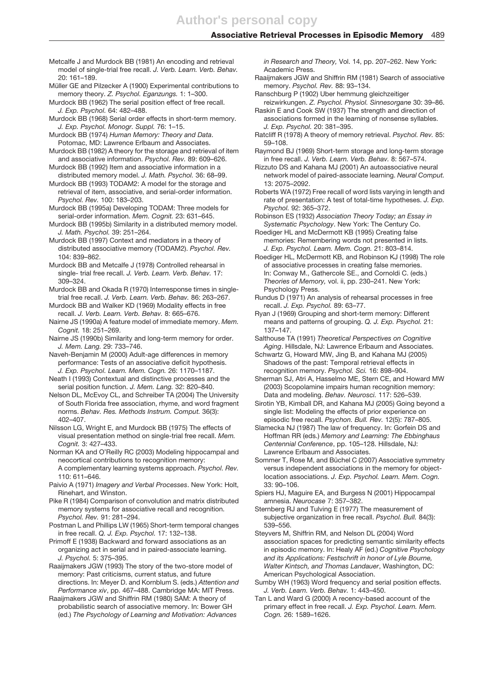- Metcalfe J and Murdock BB (1981) An encoding and retrieval model of single-trial free recall. J. Verb. Learn. Verb. Behav. 20: 161–189.
- Müller GE and Pilzecker A (1900) Experimental contributions to memory theory. Z. Psychol. Eganzungs. 1: 1–300.

Murdock BB (1962) The serial position effect of free recall. J. Exp. Psychol. 64: 482–488.

Murdock BB (1968) Serial order effects in short-term memory. J. Exp. Psychol. Monogr. Suppl. 76: 1–15.

Murdock BB (1974) Human Memory: Theory and Data. Potomac, MD: Lawrence Erlbaum and Associates.

Murdock BB (1982) A theory for the storage and retrieval of item and associative information. Psychol. Rev. 89: 609–626.

Murdock BB (1992) Item and associative information in a distributed memory model. J. Math. Psychol. 36: 68–99.

Murdock BB (1993) TODAM2: A model for the storage and retrieval of item, associative, and serial-order information. Psychol. Rev. 100: 183–203.

Murdock BB (1995a) Developing TODAM: Three models for serial-order information. Mem. Cognit. 23: 631-645.

Murdock BB (1995b) Similarity in a distributed memory model. J. Math. Psychol. 39: 251–264.

Murdock BB (1997) Context and mediators in a theory of distributed associative memory (TODAM2). Psychol. Rev. 104: 839–862.

Murdock BB and Metcalfe J (1978) Controlled rehearsal in single- trial free recall. J. Verb. Learn. Verb. Behav. 17: 309–324.

Murdock BB and Okada R (1970) Interresponse times in singletrial free recall. J. Verb. Learn. Verb. Behav. 86: 263–267.

Murdock BB and Walker KD (1969) Modality effects in free recall. J. Verb. Learn. Verb. Behav. 8: 665–676.

Nairne JS (1990a) A feature model of immediate memory. Mem. Cognit. 18: 251–269.

Nairne JS (1990b) Similarity and long-term memory for order. J. Mem. Lang. 29: 733–746.

Naveh-Benjamin M (2000) Adult-age differences in memory performance: Tests of an associative deficit hypothesis. J. Exp. Psychol. Learn. Mem. Cogn. 26: 1170–1187.

Neath I (1993) Contextual and distinctive processes and the serial position function. J. Mem. Lang. 32: 820–840.

Nelson DL, McEvoy CL, and Schreiber TA (2004) The University of South Florida free association, rhyme, and word fragment norms. Behav. Res. Methods Instrum. Comput. 36(3): 402–407.

Nilsson LG, Wright E, and Murdock BB (1975) The effects of visual presentation method on single-trial free recall. Mem. Cognit. 3: 427–433.

Norman KA and O'Reilly RC (2003) Modeling hippocampal and neocortical contributions to recognition memory: A complementary learning systems approach. Psychol. Rev. 110: 611–646.

Paivio A (1971) Imagery and Verbal Processes. New York: Holt, Rinehart, and Winston.

Pike R (1984) Comparison of convolution and matrix distributed memory systems for associative recall and recognition. Psychol. Rev. 91: 281–294.

Postman L and Phillips LW (1965) Short-term temporal changes in free recall. Q. J. Exp. Psychol. 17: 132–138.

Primoff E (1938) Backward and forward associations as an organizing act in serial and in paired-associate learning. J. Psychol. 5: 375–395.

Raaijmakers JGW (1993) The story of the two-store model of memory: Past criticisms, current status, and future directions. In: Meyer D. and Kornblum S. (eds.) Attention and Performance xiv, pp. 467–488. Cambridge MA: MIT Press.

Raaijmakers JGW and Shiffrin RM (1980) SAM: A theory of probabilistic search of associative memory. In: Bower GH (ed.) The Psychology of Learning and Motivation: Advances in Research and Theory, Vol. 14, pp. 207–262. New York: Academic Press.

Raaijmakers JGW and Shiffrin RM (1981) Search of associative memory. Psychol. Rev. 88: 93–134.

Ranschburg P (1902) Uber hemmung gleichzeitiger

reizwirkungen. Z. Psychol. Physiol. Sinnesorgane 30: 39–86. Raskin E and Cook SW (1937) The strength and direction of

associations formed in the learning of nonsense syllables. J. Exp. Psychol. 20: 381–395.

Ratcliff R (1978) A theory of memory retrieval. Psychol. Rev. 85: 59–108.

Raymond BJ (1969) Short-term storage and long-term storage in free recall. J. Verb. Learn. Verb. Behav. 8: 567–574.

Rizzuto DS and Kahana MJ (2001) An autoassociative neural network model of paired-associate learning. Neural Comput. 13: 2075–2092.

Roberts WA (1972) Free recall of word lists varying in length and rate of presentation: A test of total-time hypotheses. J. Exp. Psychol. 92: 365–372.

Robinson ES (1932) Association Theory Today; an Essay in Systematic Psychology. New York: The Century Co.

Roediger HL and McDermott KB (1995) Creating false memories: Remembering words not presented in lists. J. Exp. Psychol. Learn. Mem. Cogn. 21: 803–814.

Roediger HL, McDermott KB, and Robinson KJ (1998) The role of associative processes in creating false memories. In: Conway M., Gathercole SE., and Cornoldi C. (eds.) Theories of Memory, vol. ii, pp. 230–241. New York: Psychology Press.

Rundus D (1971) An analysis of rehearsal processes in free recall. J. Exp. Psychol. 89: 63–77.

Ryan J (1969) Grouping and short-term memory: Different means and patterns of grouping. Q. J. Exp. Psychol. 21: 137–147.

Salthouse TA (1991) Theoretical Perspectives on Cognitive Aging. Hillsdale, NJ: Lawrence Erlbaum and Associates.

Schwartz G, Howard MW, Jing B, and Kahana MJ (2005) Shadows of the past: Temporal retrieval effects in recognition memory. Psychol. Sci. 16: 898–904.

Sherman SJ, Atri A, Hasselmo ME, Stern CE, and Howard MW (2003) Scopolamine impairs human recognition memory: Data and modeling. Behav. Neurosci. 117: 526–539.

Sirotin YB, Kimball DR, and Kahana MJ (2005) Going beyond a single list: Modeling the effects of prior experience on episodic free recall. Psychon. Bull. Rev. 12(5): 787–805.

Slamecka NJ (1987) The law of frequency. In: Gorfein DS and Hoffman RR (eds.) Memory and Learning: The Ebbinghaus Centennial Conference, pp. 105–128. Hillsdale, NJ: Lawrence Erlbaum and Associates.

Sommer T, Rose M, and Büchel C (2007) Associative symmetry versus independent associations in the memory for objectlocation associations. J. Exp. Psychol. Learn. Mem. Cogn. 33: 90–106.

Spiers HJ, Maguire EA, and Burgess N (2001) Hippocampal amnesia. Neurocase 7: 357–382.

Sternberg RJ and Tulving E (1977) The measurement of subjective organization in free recall. Psychol. Bull. 84(3): 539–556.

Steyvers M, Shiffrin RM, and Nelson DL (2004) Word association spaces for predicting semantic similarity effects in episodic memory. In: Healy AF (ed.) Cognitive Psychology and its Applications: Festschrift in honor of Lyle Bourne, Walter Kintsch, and Thomas Landauer, Washington, DC: American Psychological Association.

Sumby WH (1963) Word frequency and serial position effects. J. Verb. Learn. Verb. Behav. 1: 443–450.

Tan L and Ward G (2000) A recency-based account of the primary effect in free recall. J. Exp. Psychol. Learn. Mem. Cogn. 26: 1589–1626.